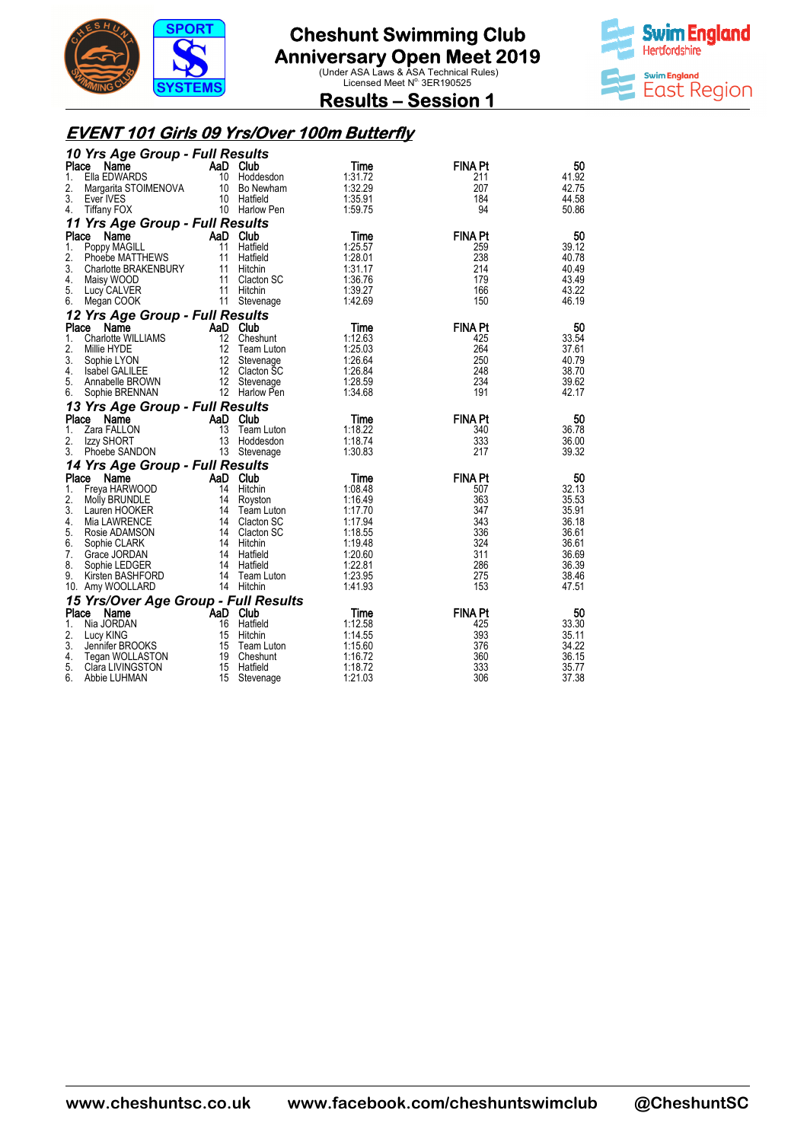



**Results – Session 1** 

#### **EVENT 101 Girls 09 Yrs/Over 100m Butterfly**

| 10 Yrs Age Group - Full Results         |          |                         |                    |                |                |
|-----------------------------------------|----------|-------------------------|--------------------|----------------|----------------|
| Place<br>Name                           | AaD Club |                         | Time               | <b>FINA Pt</b> | 50             |
| Ella EDWARDS<br>1.                      |          | 10 Hoddesdon            | 1:31.72            | 211            | 41.92          |
| Margarita STOIMENOVA 10 Bo Newham<br>2. |          |                         | 1:32.29            | 207            | 42.75          |
| 3.<br>Ever IVES                         |          | 10 Hatfield             | 1:35.91            | 184            | 44.58          |
| <b>Tiffany FOX</b><br>4.                |          | 10 Harlow Pen           | 1:59.75            | 94             | 50.86          |
| 11 Yrs Age Group - Full Results         |          |                         |                    |                |                |
| Place<br>Name                           | AaD Club |                         | Time               | <b>FINA Pt</b> | 50             |
| 1.<br>Poppy MAGILL                      |          | 11 Hatfield             | 1:25.57            | 259            | 39.12          |
| 2.<br>Phoebe MATTHEWS                   |          | 11 Hatfield             | 1:28.01            | 238            | 40.78          |
| 3.<br>Charlotte BRAKENBURY              |          | 11 Hitchin              | 1:31.17            | 214            | 40.49          |
| 4.<br>Maisy WOOD                        |          | 11 Clacton SC           | 1:36.76            | 179            | 43.49          |
| 5.<br>Lucy CALVER                       |          | 11 Hitchin              | 1:39.27            | 166            | 43.22          |
| 6.<br>Megan COOK                        |          | 11 Stevenage            | 1:42.69            | 150            | 46.19          |
| 12 Yrs Age Group - Full Results         |          |                         |                    |                |                |
| Place<br>Name                           | AaD Club |                         | Time               | <b>FINA Pt</b> | 50             |
| Charlotte WILLIAMS<br>1.                |          | 12 Cheshunt             | 1:12.63            | 425            | 33.54          |
| 2.<br>Millie HYDE                       | 12       | Team Luton              | 1:25.03            | 264            | 37.61          |
| 3.<br>Sophie LYON                       | 12       | Stevenage               | 1:26.64            | 250            | 40.79          |
| <b>Isabel GALILEE</b><br>4.             |          | 12 Clacton SC           | 1:26.84            | 248            | 38.70          |
| 5.<br>Annabelle BROWN                   |          | 12 Stevenage            | 1:28.59            | 234            | 39.62          |
| 6.<br>Sophie BRENNAN                    |          | 12 Harlow Pen           | 1:34.68            | 191            | 42.17          |
| 13 Yrs Age Group - Full Results         |          |                         |                    |                |                |
| Place<br>Name                           | AaD Club |                         | Time               | <b>FINA Pt</b> | 50             |
| 1.<br>Zara FALLON                       | 13       | Team Luton              | 1:18.22            | 340            | 36.78          |
| 2.<br>Izzy SHORT                        | 13       | Hoddesdon               | 1:18.74            | 333            | 36.00          |
| 3.<br>Phoebe SANDON                     |          | 13 Stevenage            | 1:30.83            | 217            | 39.32          |
| 14 Yrs Age Group - Full Results         |          |                         |                    |                |                |
| Place<br>Name                           | AaD Club |                         | Time               | <b>FINA Pt</b> | 50             |
| 1.<br>Freya HARWOOD                     |          | 14 Hitchin              | 1:08.48            | 507            | 32.13          |
| 2.<br>Molly BRUNDLE                     |          | 14 Royston              | 1:16.49            | 363            | 35.53          |
| 3.<br>Lauren HOOKER                     |          | 14 Team Luton           | 1:17.70            | 347            | 35.91          |
| 4.<br>Mia LAWRENCE                      |          | 14 Clacton SC           | 1:17.94            | 343            | 36.18          |
| 5.<br>Rosie ADAMSON                     |          | 14 Clacton SC           | 1:18.55            | 336            | 36.61          |
| 6.<br>Sophie CLARK                      |          | 14 Hitchin              | 1:19.48            | 324            | 36.61          |
| 7.<br>Grace JORDAN                      |          | 14 Hatfield             | 1:20.60            | 311            | 36.69          |
| 8.<br>Sophie LEDGER                     |          | 14 Hatfield             | 1:22.81            | 286            | 36.39          |
| 9.<br>Kirsten BASHFORD                  |          | 14 Team Luton           | 1:23.95            | 275            | 38.46          |
| 10. Amy WOOLLARD                        |          | 14 Hitchin              | 1:41.93            | 153            | 47.51          |
| 15 Yrs/Over Age Group - Full Results    |          |                         |                    |                |                |
| Place<br>Name                           | AaD Club |                         | Time               | <b>FINA Pt</b> | 50             |
| Nia JORDAN<br>1.                        | 16       | Hatfield                | 1:12.58            | 425            | 33.30          |
| 2.<br>Lucy KING<br>3.                   | 15       | Hitchin                 | 1:14.55            | 393            | 35.11          |
| Jennifer BROOKS                         |          | 15 Team Luton           | 1:15.60            | 376            | 34.22          |
| 4.<br>Tegan WOLLASTON<br>5.             | 15       | 19 Cheshunt<br>Hatfield | 1:16.72<br>1:18.72 | 360<br>333     | 36.15<br>35.77 |
| Clara LIVINGSTON<br>6.<br>Abbie LUHMAN  | 15       |                         | 1:21.03            | 306            | 37.38          |
|                                         |          | Stevenage               |                    |                |                |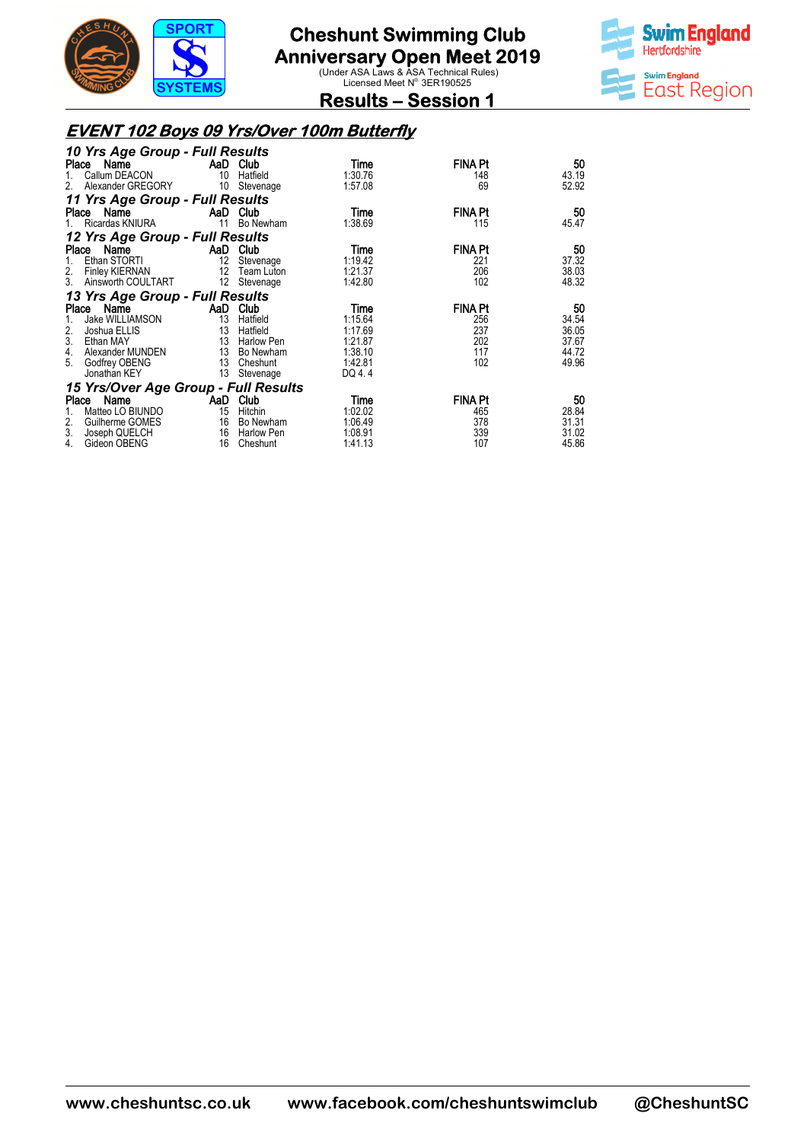



**Results – Session 1** 

#### **EVENT 102 Boys 09 Yrs/Over 100m Butterfly**

| 10 Yrs Age Group - Full Results               |                           |              |         |                |       |
|-----------------------------------------------|---------------------------|--------------|---------|----------------|-------|
| Place<br>Name                                 | <b>Example 2</b> AaD Club |              | Time    | <b>FINA Pt</b> | 50    |
| Callum DEACON                                 | 10 <sup>°</sup>           | Hatfield     | 1:30.76 | 148            | 43.19 |
| Alexander GREGORY<br>2.                       | 10                        | Stevenage    | 1:57.08 | 69             | 52.92 |
| 11 Yrs Age Group - Full Results               |                           |              |         |                |       |
| Name<br><b>Example 2018</b> AaD Club<br>Place |                           |              | Time    | <b>FINA Pt</b> | 50    |
| Ricardas KNIURA                               |                           | 11 Bo Newham | 1:38.69 | 115            | 45.47 |
| 12 Yrs Age Group - Full Results               |                           |              |         |                |       |
| Name<br>Place                                 | AaD Club                  |              | Time    | <b>FINA Pt</b> | 50    |
| Ethan STORTI<br>1.                            | 12                        | Stevenage    | 1:19.42 | 221            | 37.32 |
| 2.<br>Finley KIERNAN                          | $12 \overline{ }$         | Team Luton   | 1:21.37 | 206            | 38.03 |
| 3. Ainsworth COULTART                         | 12                        | Stevenage    | 1:42.80 | 102            | 48.32 |
| 13 Yrs Age Group - Full Results               |                           |              |         |                |       |
| Name<br>Place                                 | AaD                       | Club         | Time    | <b>FINA Pt</b> | 50    |
| Jake WILLIAMSON                               | 13                        | Hatfield     | 1:15.64 | 256            | 34.54 |
| 2.<br>Joshua ELLIS                            | 13                        | Hatfield     | 1:17.69 | 237            | 36.05 |
| 3.<br>Ethan MAY                               | 13                        | Harlow Pen   | 1:21.87 | 202            | 37.67 |
| 4.<br>Alexander MUNDEN                        |                           | 13 Bo Newham | 1:38.10 | 117            | 44.72 |
| 5.<br>Godfrey OBENG                           | 13 <sup>7</sup>           | Cheshunt     | 1:42.81 | 102            | 49.96 |
| Jonathan KEY                                  | 13                        | Stevenage    | DQ 4.4  |                |       |
| 15 Yrs/Over Age Group - Full Results          |                           |              |         |                |       |
| Name<br>Place                                 | AaD                       | Club         | Time    | <b>FINA Pt</b> | 50    |
| Matteo LO BIUNDO                              | 15                        | Hitchin      | 1:02.02 | 465            | 28.84 |
| 2.<br>Guilherme GOMES                         | 16                        | Bo Newham    | 1:06.49 | 378            | 31.31 |
| 3.<br>Joseph QUELCH                           | 16                        | Harlow Pen   | 1:08.91 | 339            | 31.02 |
| 4.<br>Gideon OBENG                            | 16                        | Cheshunt     | 1:41.13 | 107            | 45.86 |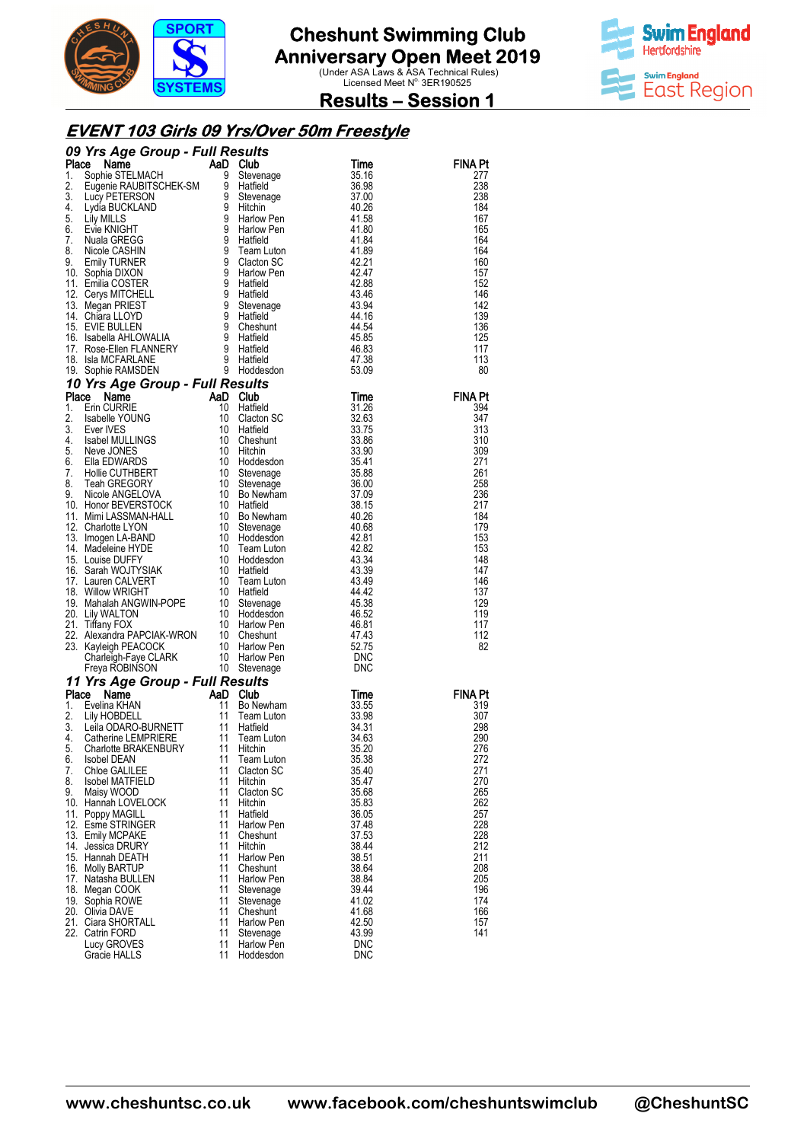



#### **Results – Session 1**

#### **EVENT 103 Girls 09 Yrs/Over Yrs/Over 50m Freestyle**

|    | 09 Yrs Age Group - Full Results<br><b>09 Yrs Age Group - Full Results<br/> Place Name<br/> 1. Sophie RELIMACH and Dolub<br/> 2. Eugenie RAUBITSCHEK-SM 9 Stevenage<br/> 2. Eugenie RAUBITSCHEK-SM 9 Stevenage<br/> 2. Livy PETERSON 9 Stevenage<br/> 4. Lydia BUCKLAND 9 Hitchin<br/> 5. Lily M</b> |          |                        |                   |                |
|----|-----------------------------------------------------------------------------------------------------------------------------------------------------------------------------------------------------------------------------------------------------------------------------------------------------|----------|------------------------|-------------------|----------------|
|    |                                                                                                                                                                                                                                                                                                     |          |                        | Time              | FINA Pt        |
|    |                                                                                                                                                                                                                                                                                                     |          |                        | 35.16<br>36.98    | 277<br>238     |
|    |                                                                                                                                                                                                                                                                                                     |          |                        | 37.00             | 238            |
|    |                                                                                                                                                                                                                                                                                                     |          |                        | 40.26             | 184            |
|    |                                                                                                                                                                                                                                                                                                     |          |                        | 41.58             | 167            |
|    |                                                                                                                                                                                                                                                                                                     |          |                        | 41.80             | 165            |
|    |                                                                                                                                                                                                                                                                                                     |          |                        | 41.84             | 164            |
|    |                                                                                                                                                                                                                                                                                                     |          |                        | 41.89             | 164            |
|    |                                                                                                                                                                                                                                                                                                     |          |                        | 42.21<br>42.47    | 160<br>157     |
|    |                                                                                                                                                                                                                                                                                                     |          |                        | 42.88             | 152            |
|    |                                                                                                                                                                                                                                                                                                     |          |                        | 43.46             | 146            |
|    |                                                                                                                                                                                                                                                                                                     |          |                        | 43.94             | 142            |
|    |                                                                                                                                                                                                                                                                                                     |          |                        | 44.16             | 139            |
|    |                                                                                                                                                                                                                                                                                                     |          |                        | 44.54             | 136            |
|    |                                                                                                                                                                                                                                                                                                     |          |                        | 45.85<br>46.83    | 125<br>117     |
|    |                                                                                                                                                                                                                                                                                                     |          |                        | 47.38             | 113            |
|    |                                                                                                                                                                                                                                                                                                     |          |                        | 53.09             | 80             |
|    | 8. Issue The CURRIE<br>1. Erin CURRIE (10 Triatified<br>1. Erin CURRIE (10 Triatified<br>1. Erin CURRIE (10 Clacton SC<br>1. Exter IVES (10 Clacton SC<br>3. Ever IVES (10 Clacton SC<br>1. Neve JONES 10 Clacton SC<br>5. Ella EDWARDS (10                                                         |          |                        |                   |                |
|    |                                                                                                                                                                                                                                                                                                     |          |                        | Time              | <b>FINA Pt</b> |
|    |                                                                                                                                                                                                                                                                                                     |          |                        | 31.26             | 394            |
|    |                                                                                                                                                                                                                                                                                                     |          |                        | 32.63             | 347            |
|    |                                                                                                                                                                                                                                                                                                     |          |                        | 33.75             | 313            |
|    |                                                                                                                                                                                                                                                                                                     |          |                        | 33.86<br>33.90    | 310<br>309     |
|    |                                                                                                                                                                                                                                                                                                     |          |                        | 35.41             | 271            |
|    |                                                                                                                                                                                                                                                                                                     |          |                        | 35.88             | 261            |
|    |                                                                                                                                                                                                                                                                                                     |          |                        | 36.00             | 258            |
|    |                                                                                                                                                                                                                                                                                                     |          |                        | 37.09             | 236            |
|    |                                                                                                                                                                                                                                                                                                     |          |                        | 38.15             | 217            |
|    |                                                                                                                                                                                                                                                                                                     |          |                        | 40.26<br>40.68    | 184<br>179     |
|    |                                                                                                                                                                                                                                                                                                     |          |                        | 42.81             | 153            |
|    |                                                                                                                                                                                                                                                                                                     |          |                        | 42.82             | 153            |
|    |                                                                                                                                                                                                                                                                                                     |          |                        | 43.34             | 148            |
|    |                                                                                                                                                                                                                                                                                                     |          |                        | 43.39             | 147            |
|    |                                                                                                                                                                                                                                                                                                     |          |                        | 43.49<br>44.42    | 146<br>137     |
|    |                                                                                                                                                                                                                                                                                                     |          |                        | 45.38             | 129            |
|    |                                                                                                                                                                                                                                                                                                     |          |                        | 46.52             | 119            |
|    |                                                                                                                                                                                                                                                                                                     |          |                        | 46.81             | 117            |
|    |                                                                                                                                                                                                                                                                                                     |          |                        | 47.43             | 112            |
|    |                                                                                                                                                                                                                                                                                                     |          |                        | 52.75             | 82             |
|    |                                                                                                                                                                                                                                                                                                     |          |                        | DNC<br><b>DNC</b> |                |
|    |                                                                                                                                                                                                                                                                                                     |          |                        |                   |                |
|    | 11 Yrs Age Group - Full Results<br>Place Name<br>1. Evelina KHAN<br>2. Lily HOBDELL<br>3. Leila ODARO-BURNETT<br>11 Hatfield<br>4. Catherine LEMPRIERE<br>5. Charlotte BRAKENBURY<br>5. Charlotte BRAKENBURY<br>11 Hitchin                                                                          |          |                        | Time              | <b>FINA Pt</b> |
|    |                                                                                                                                                                                                                                                                                                     |          | Bo Newham              | 33.55             | 319            |
|    |                                                                                                                                                                                                                                                                                                     |          | Team Luton             | 33.98             | 307            |
|    |                                                                                                                                                                                                                                                                                                     |          |                        | 34.31             | 298            |
|    |                                                                                                                                                                                                                                                                                                     |          | Team Luton             | 34.63<br>35.20    | 290<br>276     |
| 6. | <b>Isobel DEAN</b>                                                                                                                                                                                                                                                                                  | 11       | <b>Team Luton</b>      | 35.38             | 272            |
| 7. | Chloe GALILEE                                                                                                                                                                                                                                                                                       | 11       | Clacton SC             | 35.40             | 271            |
| 8. | Isobel MATFIELD                                                                                                                                                                                                                                                                                     | 11       | Hitchin                | 35.47             | 270            |
| 9. | Maisy WOOD                                                                                                                                                                                                                                                                                          | 11       | Clacton SC             | 35.68             | 265            |
|    | 10. Hannah LOVELOCK                                                                                                                                                                                                                                                                                 | 11       | Hitchin                | 35.83             | 262            |
|    | 11. Poppy MAGILL<br>12. Esme STRINGER                                                                                                                                                                                                                                                               | 11<br>11 | Hatfield<br>Harlow Pen | 36.05<br>37.48    | 257<br>228     |
|    | 13. Emily MCPAKE                                                                                                                                                                                                                                                                                    | 11       | Cheshunt               | 37.53             | 228            |
|    | 14. Jessica DRURY                                                                                                                                                                                                                                                                                   | 11       | Hitchin                | 38.44             | 212            |
|    | 15. Hannah DEATH                                                                                                                                                                                                                                                                                    | 11       | Harlow Pen             | 38.51             | 211            |
|    | 16. Molly BARTUP                                                                                                                                                                                                                                                                                    | 11       | Cheshunt               | 38.64             | 208            |
|    | 17. Natasha BULLEN                                                                                                                                                                                                                                                                                  | 11       | Harlow Pen             | 38.84             | 205            |
|    | 18. Megan COOK<br>19. Sophia ROWE                                                                                                                                                                                                                                                                   | 11<br>11 | Stevenage<br>Stevenage | 39.44<br>41.02    | 196<br>174     |
|    | 20. Olivia DAVE                                                                                                                                                                                                                                                                                     | 11       | Cheshunt               | 41.68             | 166            |
|    | 21. Ciara SHORTALL                                                                                                                                                                                                                                                                                  | 11       | Harlow Pen             | 42.50             | 157            |
|    | 22. Catrin FORD                                                                                                                                                                                                                                                                                     | 11       | Stevenage              | 43.99             | 141            |
|    | Lucy GROVES                                                                                                                                                                                                                                                                                         | 11       | Harlow Pen             | <b>DNC</b>        |                |
|    | Gracie HALLS                                                                                                                                                                                                                                                                                        | 11       | Hoddesdon              | <b>DNC</b>        |                |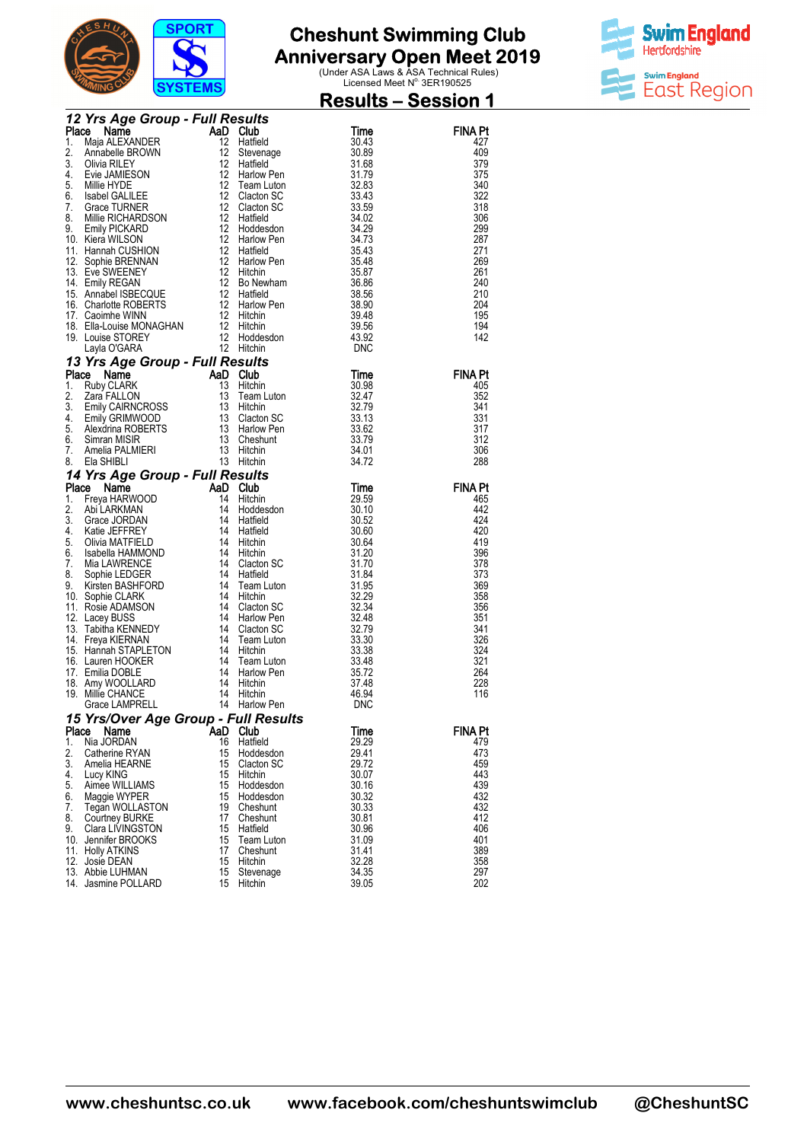



| <b>The Maja ALEXANDER COMP Full Results</b><br>1. Maja ALEXANDER (1. Maja ALEXANDER)<br>1. Maja ALEXANDER (1. Maja ALEXANDER)<br>1. Maja ALEXANDER (1. 2 Hardied 3. 31.83<br>3. Division Computer SCR (1. 2 Theory of the SCR COMPUTATION)<br><br><b>FINA Pt</b><br>427<br>409<br>379<br>375<br>340<br>322<br>318<br>306<br>299<br>287<br>271<br>269<br>261<br>240<br>210<br>204<br>195<br>194<br>142<br>FINA Pt<br>405<br>352<br>341<br>331<br>317<br>312<br>306<br>288<br><b>FINA Pt</b><br>465<br>442<br>424<br>420<br>419<br>396<br>378<br>373<br>369<br>358<br>356<br>351<br>341<br>326<br>324<br>321<br>264<br>228<br>116<br>Grace LAMPRELL<br>14 Harlow Pen<br>DNC<br>15 Yrs/Over Age Group - Full Results<br>Place<br>Name<br>Time<br>FINA Pt<br>AaD Club<br>1.<br>Nia JORDAN<br>16<br>Hatfield<br>29.29<br>479<br>2.<br>15 Hoddesdon<br>29.41<br>473<br>Catherine RYAN<br>3.<br>15<br>459<br>29.72<br>Amelia HEARNE<br>Clacton SC<br>4.<br>15<br>443<br>Hitchin<br>30.07<br>Lucy KING<br>5.<br>15 Hoddesdon<br>439<br>Aimee WILLIAMS<br>30.16<br>15<br>432<br>6.<br>30.32<br>Maggie WYPER<br>Hoddesdon<br>7.<br>19<br>30.33<br>432<br>Cheshunt<br>Tegan WOLLASTON<br>8.<br>17<br>412<br>Cheshunt<br>30.81<br><b>Courtney BURKE</b><br>15<br>406<br>9.<br>30.96<br>Clara LIVINGSTON<br>Hatfield<br>10. Jennifer BROOKS<br>15<br>31.09<br>401<br>Team Luton<br>17<br>389<br>11. Holly ATKINS<br>Cheshunt<br>31.41<br>15<br>32.28<br>358<br>12. Josie DEAN<br>Hitchin<br>15<br>34.35<br>297<br>13. Abbie LUHMAN<br>Stevenage<br>15<br>39.05<br>202<br>14. Jasmine POLLARD<br>Hitchin |  |  |  | <u> Results – Session 1</u> |
|--------------------------------------------------------------------------------------------------------------------------------------------------------------------------------------------------------------------------------------------------------------------------------------------------------------------------------------------------------------------------------------------------------------------------------------------------------------------------------------------------------------------------------------------------------------------------------------------------------------------------------------------------------------------------------------------------------------------------------------------------------------------------------------------------------------------------------------------------------------------------------------------------------------------------------------------------------------------------------------------------------------------------------------------------------------------------------------------------------------------------------------------------------------------------------------------------------------------------------------------------------------------------------------------------------------------------------------------------------------------------------------------------------------------------------------------------------------------------------------------------------------------------------------------------------------------------------------------|--|--|--|-----------------------------|
|                                                                                                                                                                                                                                                                                                                                                                                                                                                                                                                                                                                                                                                                                                                                                                                                                                                                                                                                                                                                                                                                                                                                                                                                                                                                                                                                                                                                                                                                                                                                                                                            |  |  |  |                             |
|                                                                                                                                                                                                                                                                                                                                                                                                                                                                                                                                                                                                                                                                                                                                                                                                                                                                                                                                                                                                                                                                                                                                                                                                                                                                                                                                                                                                                                                                                                                                                                                            |  |  |  |                             |
|                                                                                                                                                                                                                                                                                                                                                                                                                                                                                                                                                                                                                                                                                                                                                                                                                                                                                                                                                                                                                                                                                                                                                                                                                                                                                                                                                                                                                                                                                                                                                                                            |  |  |  |                             |
|                                                                                                                                                                                                                                                                                                                                                                                                                                                                                                                                                                                                                                                                                                                                                                                                                                                                                                                                                                                                                                                                                                                                                                                                                                                                                                                                                                                                                                                                                                                                                                                            |  |  |  |                             |
|                                                                                                                                                                                                                                                                                                                                                                                                                                                                                                                                                                                                                                                                                                                                                                                                                                                                                                                                                                                                                                                                                                                                                                                                                                                                                                                                                                                                                                                                                                                                                                                            |  |  |  |                             |
|                                                                                                                                                                                                                                                                                                                                                                                                                                                                                                                                                                                                                                                                                                                                                                                                                                                                                                                                                                                                                                                                                                                                                                                                                                                                                                                                                                                                                                                                                                                                                                                            |  |  |  |                             |
|                                                                                                                                                                                                                                                                                                                                                                                                                                                                                                                                                                                                                                                                                                                                                                                                                                                                                                                                                                                                                                                                                                                                                                                                                                                                                                                                                                                                                                                                                                                                                                                            |  |  |  |                             |
|                                                                                                                                                                                                                                                                                                                                                                                                                                                                                                                                                                                                                                                                                                                                                                                                                                                                                                                                                                                                                                                                                                                                                                                                                                                                                                                                                                                                                                                                                                                                                                                            |  |  |  |                             |
|                                                                                                                                                                                                                                                                                                                                                                                                                                                                                                                                                                                                                                                                                                                                                                                                                                                                                                                                                                                                                                                                                                                                                                                                                                                                                                                                                                                                                                                                                                                                                                                            |  |  |  |                             |
|                                                                                                                                                                                                                                                                                                                                                                                                                                                                                                                                                                                                                                                                                                                                                                                                                                                                                                                                                                                                                                                                                                                                                                                                                                                                                                                                                                                                                                                                                                                                                                                            |  |  |  |                             |
|                                                                                                                                                                                                                                                                                                                                                                                                                                                                                                                                                                                                                                                                                                                                                                                                                                                                                                                                                                                                                                                                                                                                                                                                                                                                                                                                                                                                                                                                                                                                                                                            |  |  |  |                             |
|                                                                                                                                                                                                                                                                                                                                                                                                                                                                                                                                                                                                                                                                                                                                                                                                                                                                                                                                                                                                                                                                                                                                                                                                                                                                                                                                                                                                                                                                                                                                                                                            |  |  |  |                             |
|                                                                                                                                                                                                                                                                                                                                                                                                                                                                                                                                                                                                                                                                                                                                                                                                                                                                                                                                                                                                                                                                                                                                                                                                                                                                                                                                                                                                                                                                                                                                                                                            |  |  |  |                             |
|                                                                                                                                                                                                                                                                                                                                                                                                                                                                                                                                                                                                                                                                                                                                                                                                                                                                                                                                                                                                                                                                                                                                                                                                                                                                                                                                                                                                                                                                                                                                                                                            |  |  |  |                             |
|                                                                                                                                                                                                                                                                                                                                                                                                                                                                                                                                                                                                                                                                                                                                                                                                                                                                                                                                                                                                                                                                                                                                                                                                                                                                                                                                                                                                                                                                                                                                                                                            |  |  |  |                             |
|                                                                                                                                                                                                                                                                                                                                                                                                                                                                                                                                                                                                                                                                                                                                                                                                                                                                                                                                                                                                                                                                                                                                                                                                                                                                                                                                                                                                                                                                                                                                                                                            |  |  |  |                             |
|                                                                                                                                                                                                                                                                                                                                                                                                                                                                                                                                                                                                                                                                                                                                                                                                                                                                                                                                                                                                                                                                                                                                                                                                                                                                                                                                                                                                                                                                                                                                                                                            |  |  |  |                             |
|                                                                                                                                                                                                                                                                                                                                                                                                                                                                                                                                                                                                                                                                                                                                                                                                                                                                                                                                                                                                                                                                                                                                                                                                                                                                                                                                                                                                                                                                                                                                                                                            |  |  |  |                             |
|                                                                                                                                                                                                                                                                                                                                                                                                                                                                                                                                                                                                                                                                                                                                                                                                                                                                                                                                                                                                                                                                                                                                                                                                                                                                                                                                                                                                                                                                                                                                                                                            |  |  |  |                             |
|                                                                                                                                                                                                                                                                                                                                                                                                                                                                                                                                                                                                                                                                                                                                                                                                                                                                                                                                                                                                                                                                                                                                                                                                                                                                                                                                                                                                                                                                                                                                                                                            |  |  |  |                             |
|                                                                                                                                                                                                                                                                                                                                                                                                                                                                                                                                                                                                                                                                                                                                                                                                                                                                                                                                                                                                                                                                                                                                                                                                                                                                                                                                                                                                                                                                                                                                                                                            |  |  |  |                             |
|                                                                                                                                                                                                                                                                                                                                                                                                                                                                                                                                                                                                                                                                                                                                                                                                                                                                                                                                                                                                                                                                                                                                                                                                                                                                                                                                                                                                                                                                                                                                                                                            |  |  |  |                             |
|                                                                                                                                                                                                                                                                                                                                                                                                                                                                                                                                                                                                                                                                                                                                                                                                                                                                                                                                                                                                                                                                                                                                                                                                                                                                                                                                                                                                                                                                                                                                                                                            |  |  |  |                             |
|                                                                                                                                                                                                                                                                                                                                                                                                                                                                                                                                                                                                                                                                                                                                                                                                                                                                                                                                                                                                                                                                                                                                                                                                                                                                                                                                                                                                                                                                                                                                                                                            |  |  |  |                             |
|                                                                                                                                                                                                                                                                                                                                                                                                                                                                                                                                                                                                                                                                                                                                                                                                                                                                                                                                                                                                                                                                                                                                                                                                                                                                                                                                                                                                                                                                                                                                                                                            |  |  |  |                             |
|                                                                                                                                                                                                                                                                                                                                                                                                                                                                                                                                                                                                                                                                                                                                                                                                                                                                                                                                                                                                                                                                                                                                                                                                                                                                                                                                                                                                                                                                                                                                                                                            |  |  |  |                             |
|                                                                                                                                                                                                                                                                                                                                                                                                                                                                                                                                                                                                                                                                                                                                                                                                                                                                                                                                                                                                                                                                                                                                                                                                                                                                                                                                                                                                                                                                                                                                                                                            |  |  |  |                             |
|                                                                                                                                                                                                                                                                                                                                                                                                                                                                                                                                                                                                                                                                                                                                                                                                                                                                                                                                                                                                                                                                                                                                                                                                                                                                                                                                                                                                                                                                                                                                                                                            |  |  |  |                             |
|                                                                                                                                                                                                                                                                                                                                                                                                                                                                                                                                                                                                                                                                                                                                                                                                                                                                                                                                                                                                                                                                                                                                                                                                                                                                                                                                                                                                                                                                                                                                                                                            |  |  |  |                             |
|                                                                                                                                                                                                                                                                                                                                                                                                                                                                                                                                                                                                                                                                                                                                                                                                                                                                                                                                                                                                                                                                                                                                                                                                                                                                                                                                                                                                                                                                                                                                                                                            |  |  |  |                             |
|                                                                                                                                                                                                                                                                                                                                                                                                                                                                                                                                                                                                                                                                                                                                                                                                                                                                                                                                                                                                                                                                                                                                                                                                                                                                                                                                                                                                                                                                                                                                                                                            |  |  |  |                             |
|                                                                                                                                                                                                                                                                                                                                                                                                                                                                                                                                                                                                                                                                                                                                                                                                                                                                                                                                                                                                                                                                                                                                                                                                                                                                                                                                                                                                                                                                                                                                                                                            |  |  |  |                             |
|                                                                                                                                                                                                                                                                                                                                                                                                                                                                                                                                                                                                                                                                                                                                                                                                                                                                                                                                                                                                                                                                                                                                                                                                                                                                                                                                                                                                                                                                                                                                                                                            |  |  |  |                             |
|                                                                                                                                                                                                                                                                                                                                                                                                                                                                                                                                                                                                                                                                                                                                                                                                                                                                                                                                                                                                                                                                                                                                                                                                                                                                                                                                                                                                                                                                                                                                                                                            |  |  |  |                             |
|                                                                                                                                                                                                                                                                                                                                                                                                                                                                                                                                                                                                                                                                                                                                                                                                                                                                                                                                                                                                                                                                                                                                                                                                                                                                                                                                                                                                                                                                                                                                                                                            |  |  |  |                             |
|                                                                                                                                                                                                                                                                                                                                                                                                                                                                                                                                                                                                                                                                                                                                                                                                                                                                                                                                                                                                                                                                                                                                                                                                                                                                                                                                                                                                                                                                                                                                                                                            |  |  |  |                             |
|                                                                                                                                                                                                                                                                                                                                                                                                                                                                                                                                                                                                                                                                                                                                                                                                                                                                                                                                                                                                                                                                                                                                                                                                                                                                                                                                                                                                                                                                                                                                                                                            |  |  |  |                             |
|                                                                                                                                                                                                                                                                                                                                                                                                                                                                                                                                                                                                                                                                                                                                                                                                                                                                                                                                                                                                                                                                                                                                                                                                                                                                                                                                                                                                                                                                                                                                                                                            |  |  |  |                             |
|                                                                                                                                                                                                                                                                                                                                                                                                                                                                                                                                                                                                                                                                                                                                                                                                                                                                                                                                                                                                                                                                                                                                                                                                                                                                                                                                                                                                                                                                                                                                                                                            |  |  |  |                             |
|                                                                                                                                                                                                                                                                                                                                                                                                                                                                                                                                                                                                                                                                                                                                                                                                                                                                                                                                                                                                                                                                                                                                                                                                                                                                                                                                                                                                                                                                                                                                                                                            |  |  |  |                             |
|                                                                                                                                                                                                                                                                                                                                                                                                                                                                                                                                                                                                                                                                                                                                                                                                                                                                                                                                                                                                                                                                                                                                                                                                                                                                                                                                                                                                                                                                                                                                                                                            |  |  |  |                             |
|                                                                                                                                                                                                                                                                                                                                                                                                                                                                                                                                                                                                                                                                                                                                                                                                                                                                                                                                                                                                                                                                                                                                                                                                                                                                                                                                                                                                                                                                                                                                                                                            |  |  |  |                             |
|                                                                                                                                                                                                                                                                                                                                                                                                                                                                                                                                                                                                                                                                                                                                                                                                                                                                                                                                                                                                                                                                                                                                                                                                                                                                                                                                                                                                                                                                                                                                                                                            |  |  |  |                             |
|                                                                                                                                                                                                                                                                                                                                                                                                                                                                                                                                                                                                                                                                                                                                                                                                                                                                                                                                                                                                                                                                                                                                                                                                                                                                                                                                                                                                                                                                                                                                                                                            |  |  |  |                             |
|                                                                                                                                                                                                                                                                                                                                                                                                                                                                                                                                                                                                                                                                                                                                                                                                                                                                                                                                                                                                                                                                                                                                                                                                                                                                                                                                                                                                                                                                                                                                                                                            |  |  |  |                             |
|                                                                                                                                                                                                                                                                                                                                                                                                                                                                                                                                                                                                                                                                                                                                                                                                                                                                                                                                                                                                                                                                                                                                                                                                                                                                                                                                                                                                                                                                                                                                                                                            |  |  |  |                             |
|                                                                                                                                                                                                                                                                                                                                                                                                                                                                                                                                                                                                                                                                                                                                                                                                                                                                                                                                                                                                                                                                                                                                                                                                                                                                                                                                                                                                                                                                                                                                                                                            |  |  |  |                             |
|                                                                                                                                                                                                                                                                                                                                                                                                                                                                                                                                                                                                                                                                                                                                                                                                                                                                                                                                                                                                                                                                                                                                                                                                                                                                                                                                                                                                                                                                                                                                                                                            |  |  |  |                             |
|                                                                                                                                                                                                                                                                                                                                                                                                                                                                                                                                                                                                                                                                                                                                                                                                                                                                                                                                                                                                                                                                                                                                                                                                                                                                                                                                                                                                                                                                                                                                                                                            |  |  |  |                             |
|                                                                                                                                                                                                                                                                                                                                                                                                                                                                                                                                                                                                                                                                                                                                                                                                                                                                                                                                                                                                                                                                                                                                                                                                                                                                                                                                                                                                                                                                                                                                                                                            |  |  |  |                             |
|                                                                                                                                                                                                                                                                                                                                                                                                                                                                                                                                                                                                                                                                                                                                                                                                                                                                                                                                                                                                                                                                                                                                                                                                                                                                                                                                                                                                                                                                                                                                                                                            |  |  |  |                             |
|                                                                                                                                                                                                                                                                                                                                                                                                                                                                                                                                                                                                                                                                                                                                                                                                                                                                                                                                                                                                                                                                                                                                                                                                                                                                                                                                                                                                                                                                                                                                                                                            |  |  |  |                             |
|                                                                                                                                                                                                                                                                                                                                                                                                                                                                                                                                                                                                                                                                                                                                                                                                                                                                                                                                                                                                                                                                                                                                                                                                                                                                                                                                                                                                                                                                                                                                                                                            |  |  |  |                             |
|                                                                                                                                                                                                                                                                                                                                                                                                                                                                                                                                                                                                                                                                                                                                                                                                                                                                                                                                                                                                                                                                                                                                                                                                                                                                                                                                                                                                                                                                                                                                                                                            |  |  |  |                             |
|                                                                                                                                                                                                                                                                                                                                                                                                                                                                                                                                                                                                                                                                                                                                                                                                                                                                                                                                                                                                                                                                                                                                                                                                                                                                                                                                                                                                                                                                                                                                                                                            |  |  |  |                             |
|                                                                                                                                                                                                                                                                                                                                                                                                                                                                                                                                                                                                                                                                                                                                                                                                                                                                                                                                                                                                                                                                                                                                                                                                                                                                                                                                                                                                                                                                                                                                                                                            |  |  |  |                             |
|                                                                                                                                                                                                                                                                                                                                                                                                                                                                                                                                                                                                                                                                                                                                                                                                                                                                                                                                                                                                                                                                                                                                                                                                                                                                                                                                                                                                                                                                                                                                                                                            |  |  |  |                             |
|                                                                                                                                                                                                                                                                                                                                                                                                                                                                                                                                                                                                                                                                                                                                                                                                                                                                                                                                                                                                                                                                                                                                                                                                                                                                                                                                                                                                                                                                                                                                                                                            |  |  |  |                             |
|                                                                                                                                                                                                                                                                                                                                                                                                                                                                                                                                                                                                                                                                                                                                                                                                                                                                                                                                                                                                                                                                                                                                                                                                                                                                                                                                                                                                                                                                                                                                                                                            |  |  |  |                             |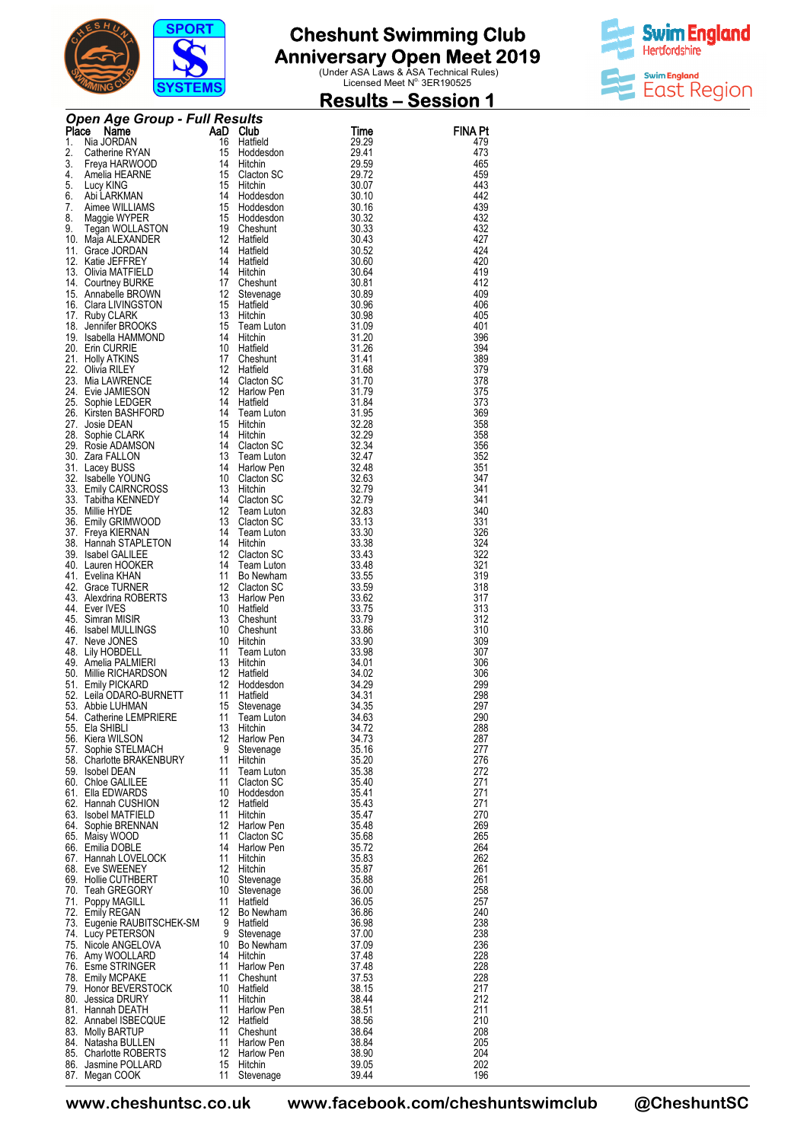



| <b>Cher Age Group - Full Results<br/> The Sustainer (Marine Mann)<br/> 1. Nia Angle Group - Full Results<br/> 2. Catherine RYAN<br/> 1. Street HANNE 15 Cladison<br/> 4. Amelia HEARNE<br/> 2. Catherine RYAN<br/> 4. Amelia HEARNE<br/> 5. Lucy MNC 15 Cladison</b><br><b>FINA Pt</b><br>479<br>473<br>465<br>459<br>443<br>442<br>439<br>432<br>432<br>427<br>424<br>420<br>419<br>412<br>409<br>406<br>405<br>401<br>396<br>394<br>389<br>379<br>378<br>375<br>373<br>369<br>358<br>358<br>356<br>352<br>351<br>347<br>341<br>341<br>340<br>331<br>326<br>324<br>322<br>321<br>319<br>318<br>317<br>313<br>312<br>310<br>309<br>307<br>306<br>306<br>299<br>43. Chinai Packmona (1990)<br>19. Millie RICHARDSON<br>19. Leila ODARO-BURNETT<br>11 Hatfield<br>11 Hatfield<br>12 Hatfield<br>12 Hatfield<br>13 4.02<br>12 Hatfield<br>13 4.31<br>13 4.31<br>54. Chinai DARO-BURNETT<br>11 Hatfield<br>13 4.431<br>54. Ca<br>298<br>297<br>290<br>288<br>287<br>277<br>276<br>272<br>271<br>271<br>271<br>270<br>269<br>265<br>264<br>262<br>261<br>261<br>258<br>257<br>240<br>238<br>238<br>236<br>228<br>228<br>228<br>217<br>212<br>211<br>210<br>208<br>205<br>204<br>202<br>196 |  |  | <u> Results – Session 1</u> |
|---------------------------------------------------------------------------------------------------------------------------------------------------------------------------------------------------------------------------------------------------------------------------------------------------------------------------------------------------------------------------------------------------------------------------------------------------------------------------------------------------------------------------------------------------------------------------------------------------------------------------------------------------------------------------------------------------------------------------------------------------------------------------------------------------------------------------------------------------------------------------------------------------------------------------------------------------------------------------------------------------------------------------------------------------------------------------------------------------------------------------------------------------------------------------------------|--|--|-----------------------------|
|                                                                                                                                                                                                                                                                                                                                                                                                                                                                                                                                                                                                                                                                                                                                                                                                                                                                                                                                                                                                                                                                                                                                                                                       |  |  |                             |
|                                                                                                                                                                                                                                                                                                                                                                                                                                                                                                                                                                                                                                                                                                                                                                                                                                                                                                                                                                                                                                                                                                                                                                                       |  |  |                             |
|                                                                                                                                                                                                                                                                                                                                                                                                                                                                                                                                                                                                                                                                                                                                                                                                                                                                                                                                                                                                                                                                                                                                                                                       |  |  |                             |
|                                                                                                                                                                                                                                                                                                                                                                                                                                                                                                                                                                                                                                                                                                                                                                                                                                                                                                                                                                                                                                                                                                                                                                                       |  |  |                             |
|                                                                                                                                                                                                                                                                                                                                                                                                                                                                                                                                                                                                                                                                                                                                                                                                                                                                                                                                                                                                                                                                                                                                                                                       |  |  |                             |
|                                                                                                                                                                                                                                                                                                                                                                                                                                                                                                                                                                                                                                                                                                                                                                                                                                                                                                                                                                                                                                                                                                                                                                                       |  |  |                             |
|                                                                                                                                                                                                                                                                                                                                                                                                                                                                                                                                                                                                                                                                                                                                                                                                                                                                                                                                                                                                                                                                                                                                                                                       |  |  |                             |
|                                                                                                                                                                                                                                                                                                                                                                                                                                                                                                                                                                                                                                                                                                                                                                                                                                                                                                                                                                                                                                                                                                                                                                                       |  |  |                             |
|                                                                                                                                                                                                                                                                                                                                                                                                                                                                                                                                                                                                                                                                                                                                                                                                                                                                                                                                                                                                                                                                                                                                                                                       |  |  |                             |
|                                                                                                                                                                                                                                                                                                                                                                                                                                                                                                                                                                                                                                                                                                                                                                                                                                                                                                                                                                                                                                                                                                                                                                                       |  |  |                             |
|                                                                                                                                                                                                                                                                                                                                                                                                                                                                                                                                                                                                                                                                                                                                                                                                                                                                                                                                                                                                                                                                                                                                                                                       |  |  |                             |
|                                                                                                                                                                                                                                                                                                                                                                                                                                                                                                                                                                                                                                                                                                                                                                                                                                                                                                                                                                                                                                                                                                                                                                                       |  |  |                             |
|                                                                                                                                                                                                                                                                                                                                                                                                                                                                                                                                                                                                                                                                                                                                                                                                                                                                                                                                                                                                                                                                                                                                                                                       |  |  |                             |
|                                                                                                                                                                                                                                                                                                                                                                                                                                                                                                                                                                                                                                                                                                                                                                                                                                                                                                                                                                                                                                                                                                                                                                                       |  |  |                             |
|                                                                                                                                                                                                                                                                                                                                                                                                                                                                                                                                                                                                                                                                                                                                                                                                                                                                                                                                                                                                                                                                                                                                                                                       |  |  |                             |
|                                                                                                                                                                                                                                                                                                                                                                                                                                                                                                                                                                                                                                                                                                                                                                                                                                                                                                                                                                                                                                                                                                                                                                                       |  |  |                             |
|                                                                                                                                                                                                                                                                                                                                                                                                                                                                                                                                                                                                                                                                                                                                                                                                                                                                                                                                                                                                                                                                                                                                                                                       |  |  |                             |
|                                                                                                                                                                                                                                                                                                                                                                                                                                                                                                                                                                                                                                                                                                                                                                                                                                                                                                                                                                                                                                                                                                                                                                                       |  |  |                             |
|                                                                                                                                                                                                                                                                                                                                                                                                                                                                                                                                                                                                                                                                                                                                                                                                                                                                                                                                                                                                                                                                                                                                                                                       |  |  |                             |
|                                                                                                                                                                                                                                                                                                                                                                                                                                                                                                                                                                                                                                                                                                                                                                                                                                                                                                                                                                                                                                                                                                                                                                                       |  |  |                             |
|                                                                                                                                                                                                                                                                                                                                                                                                                                                                                                                                                                                                                                                                                                                                                                                                                                                                                                                                                                                                                                                                                                                                                                                       |  |  |                             |
|                                                                                                                                                                                                                                                                                                                                                                                                                                                                                                                                                                                                                                                                                                                                                                                                                                                                                                                                                                                                                                                                                                                                                                                       |  |  |                             |
|                                                                                                                                                                                                                                                                                                                                                                                                                                                                                                                                                                                                                                                                                                                                                                                                                                                                                                                                                                                                                                                                                                                                                                                       |  |  |                             |
|                                                                                                                                                                                                                                                                                                                                                                                                                                                                                                                                                                                                                                                                                                                                                                                                                                                                                                                                                                                                                                                                                                                                                                                       |  |  |                             |
|                                                                                                                                                                                                                                                                                                                                                                                                                                                                                                                                                                                                                                                                                                                                                                                                                                                                                                                                                                                                                                                                                                                                                                                       |  |  |                             |
|                                                                                                                                                                                                                                                                                                                                                                                                                                                                                                                                                                                                                                                                                                                                                                                                                                                                                                                                                                                                                                                                                                                                                                                       |  |  |                             |
|                                                                                                                                                                                                                                                                                                                                                                                                                                                                                                                                                                                                                                                                                                                                                                                                                                                                                                                                                                                                                                                                                                                                                                                       |  |  |                             |
|                                                                                                                                                                                                                                                                                                                                                                                                                                                                                                                                                                                                                                                                                                                                                                                                                                                                                                                                                                                                                                                                                                                                                                                       |  |  |                             |
|                                                                                                                                                                                                                                                                                                                                                                                                                                                                                                                                                                                                                                                                                                                                                                                                                                                                                                                                                                                                                                                                                                                                                                                       |  |  |                             |
|                                                                                                                                                                                                                                                                                                                                                                                                                                                                                                                                                                                                                                                                                                                                                                                                                                                                                                                                                                                                                                                                                                                                                                                       |  |  |                             |
|                                                                                                                                                                                                                                                                                                                                                                                                                                                                                                                                                                                                                                                                                                                                                                                                                                                                                                                                                                                                                                                                                                                                                                                       |  |  |                             |
|                                                                                                                                                                                                                                                                                                                                                                                                                                                                                                                                                                                                                                                                                                                                                                                                                                                                                                                                                                                                                                                                                                                                                                                       |  |  |                             |
|                                                                                                                                                                                                                                                                                                                                                                                                                                                                                                                                                                                                                                                                                                                                                                                                                                                                                                                                                                                                                                                                                                                                                                                       |  |  |                             |
|                                                                                                                                                                                                                                                                                                                                                                                                                                                                                                                                                                                                                                                                                                                                                                                                                                                                                                                                                                                                                                                                                                                                                                                       |  |  |                             |
|                                                                                                                                                                                                                                                                                                                                                                                                                                                                                                                                                                                                                                                                                                                                                                                                                                                                                                                                                                                                                                                                                                                                                                                       |  |  |                             |
|                                                                                                                                                                                                                                                                                                                                                                                                                                                                                                                                                                                                                                                                                                                                                                                                                                                                                                                                                                                                                                                                                                                                                                                       |  |  |                             |
|                                                                                                                                                                                                                                                                                                                                                                                                                                                                                                                                                                                                                                                                                                                                                                                                                                                                                                                                                                                                                                                                                                                                                                                       |  |  |                             |
|                                                                                                                                                                                                                                                                                                                                                                                                                                                                                                                                                                                                                                                                                                                                                                                                                                                                                                                                                                                                                                                                                                                                                                                       |  |  |                             |
|                                                                                                                                                                                                                                                                                                                                                                                                                                                                                                                                                                                                                                                                                                                                                                                                                                                                                                                                                                                                                                                                                                                                                                                       |  |  |                             |
|                                                                                                                                                                                                                                                                                                                                                                                                                                                                                                                                                                                                                                                                                                                                                                                                                                                                                                                                                                                                                                                                                                                                                                                       |  |  |                             |
|                                                                                                                                                                                                                                                                                                                                                                                                                                                                                                                                                                                                                                                                                                                                                                                                                                                                                                                                                                                                                                                                                                                                                                                       |  |  |                             |
|                                                                                                                                                                                                                                                                                                                                                                                                                                                                                                                                                                                                                                                                                                                                                                                                                                                                                                                                                                                                                                                                                                                                                                                       |  |  |                             |
|                                                                                                                                                                                                                                                                                                                                                                                                                                                                                                                                                                                                                                                                                                                                                                                                                                                                                                                                                                                                                                                                                                                                                                                       |  |  |                             |
|                                                                                                                                                                                                                                                                                                                                                                                                                                                                                                                                                                                                                                                                                                                                                                                                                                                                                                                                                                                                                                                                                                                                                                                       |  |  |                             |
|                                                                                                                                                                                                                                                                                                                                                                                                                                                                                                                                                                                                                                                                                                                                                                                                                                                                                                                                                                                                                                                                                                                                                                                       |  |  |                             |
|                                                                                                                                                                                                                                                                                                                                                                                                                                                                                                                                                                                                                                                                                                                                                                                                                                                                                                                                                                                                                                                                                                                                                                                       |  |  |                             |
|                                                                                                                                                                                                                                                                                                                                                                                                                                                                                                                                                                                                                                                                                                                                                                                                                                                                                                                                                                                                                                                                                                                                                                                       |  |  |                             |
|                                                                                                                                                                                                                                                                                                                                                                                                                                                                                                                                                                                                                                                                                                                                                                                                                                                                                                                                                                                                                                                                                                                                                                                       |  |  |                             |
|                                                                                                                                                                                                                                                                                                                                                                                                                                                                                                                                                                                                                                                                                                                                                                                                                                                                                                                                                                                                                                                                                                                                                                                       |  |  |                             |
|                                                                                                                                                                                                                                                                                                                                                                                                                                                                                                                                                                                                                                                                                                                                                                                                                                                                                                                                                                                                                                                                                                                                                                                       |  |  |                             |
|                                                                                                                                                                                                                                                                                                                                                                                                                                                                                                                                                                                                                                                                                                                                                                                                                                                                                                                                                                                                                                                                                                                                                                                       |  |  |                             |
|                                                                                                                                                                                                                                                                                                                                                                                                                                                                                                                                                                                                                                                                                                                                                                                                                                                                                                                                                                                                                                                                                                                                                                                       |  |  |                             |
|                                                                                                                                                                                                                                                                                                                                                                                                                                                                                                                                                                                                                                                                                                                                                                                                                                                                                                                                                                                                                                                                                                                                                                                       |  |  |                             |
|                                                                                                                                                                                                                                                                                                                                                                                                                                                                                                                                                                                                                                                                                                                                                                                                                                                                                                                                                                                                                                                                                                                                                                                       |  |  |                             |
|                                                                                                                                                                                                                                                                                                                                                                                                                                                                                                                                                                                                                                                                                                                                                                                                                                                                                                                                                                                                                                                                                                                                                                                       |  |  |                             |
|                                                                                                                                                                                                                                                                                                                                                                                                                                                                                                                                                                                                                                                                                                                                                                                                                                                                                                                                                                                                                                                                                                                                                                                       |  |  |                             |
|                                                                                                                                                                                                                                                                                                                                                                                                                                                                                                                                                                                                                                                                                                                                                                                                                                                                                                                                                                                                                                                                                                                                                                                       |  |  |                             |
|                                                                                                                                                                                                                                                                                                                                                                                                                                                                                                                                                                                                                                                                                                                                                                                                                                                                                                                                                                                                                                                                                                                                                                                       |  |  |                             |
|                                                                                                                                                                                                                                                                                                                                                                                                                                                                                                                                                                                                                                                                                                                                                                                                                                                                                                                                                                                                                                                                                                                                                                                       |  |  |                             |
|                                                                                                                                                                                                                                                                                                                                                                                                                                                                                                                                                                                                                                                                                                                                                                                                                                                                                                                                                                                                                                                                                                                                                                                       |  |  |                             |
|                                                                                                                                                                                                                                                                                                                                                                                                                                                                                                                                                                                                                                                                                                                                                                                                                                                                                                                                                                                                                                                                                                                                                                                       |  |  |                             |
|                                                                                                                                                                                                                                                                                                                                                                                                                                                                                                                                                                                                                                                                                                                                                                                                                                                                                                                                                                                                                                                                                                                                                                                       |  |  |                             |
|                                                                                                                                                                                                                                                                                                                                                                                                                                                                                                                                                                                                                                                                                                                                                                                                                                                                                                                                                                                                                                                                                                                                                                                       |  |  |                             |
|                                                                                                                                                                                                                                                                                                                                                                                                                                                                                                                                                                                                                                                                                                                                                                                                                                                                                                                                                                                                                                                                                                                                                                                       |  |  |                             |
|                                                                                                                                                                                                                                                                                                                                                                                                                                                                                                                                                                                                                                                                                                                                                                                                                                                                                                                                                                                                                                                                                                                                                                                       |  |  |                             |
|                                                                                                                                                                                                                                                                                                                                                                                                                                                                                                                                                                                                                                                                                                                                                                                                                                                                                                                                                                                                                                                                                                                                                                                       |  |  |                             |
|                                                                                                                                                                                                                                                                                                                                                                                                                                                                                                                                                                                                                                                                                                                                                                                                                                                                                                                                                                                                                                                                                                                                                                                       |  |  |                             |
|                                                                                                                                                                                                                                                                                                                                                                                                                                                                                                                                                                                                                                                                                                                                                                                                                                                                                                                                                                                                                                                                                                                                                                                       |  |  |                             |
|                                                                                                                                                                                                                                                                                                                                                                                                                                                                                                                                                                                                                                                                                                                                                                                                                                                                                                                                                                                                                                                                                                                                                                                       |  |  |                             |
|                                                                                                                                                                                                                                                                                                                                                                                                                                                                                                                                                                                                                                                                                                                                                                                                                                                                                                                                                                                                                                                                                                                                                                                       |  |  |                             |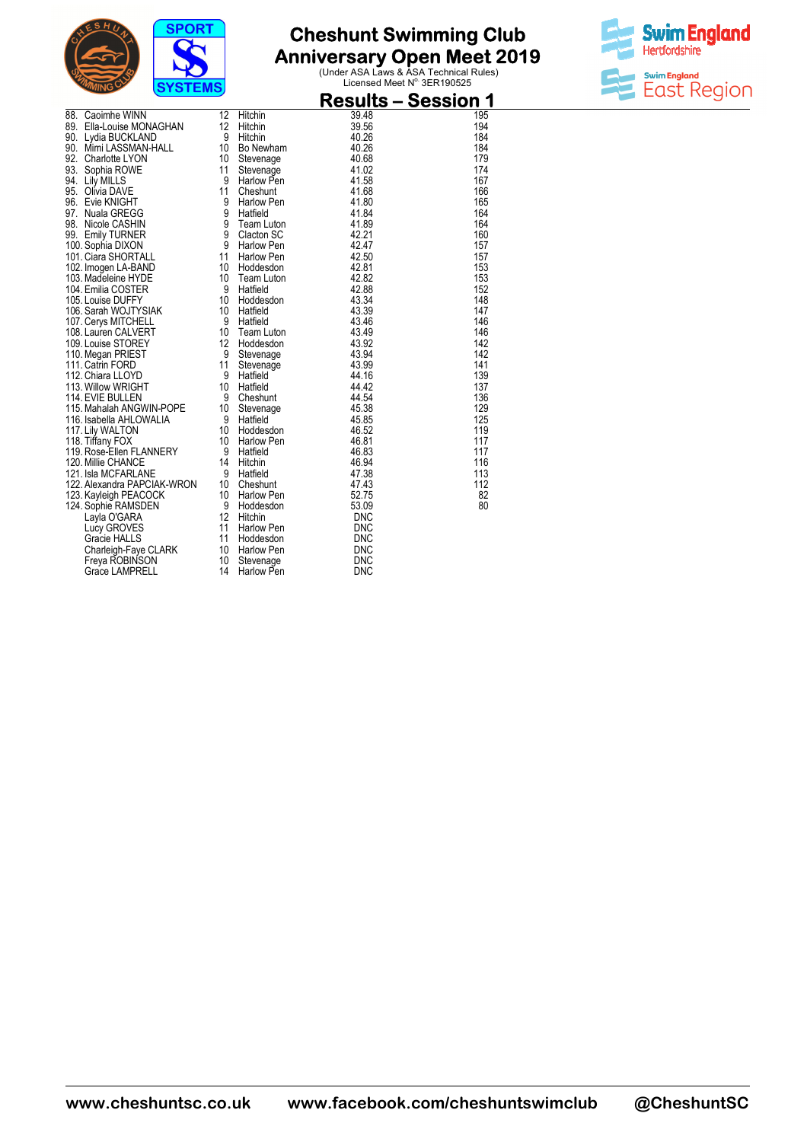



|            | 3131 EMS                                                                                                                                                                                 |                                            |                                                                                                         | <b>Results – Session 1</b>                                                |                                                      |
|------------|------------------------------------------------------------------------------------------------------------------------------------------------------------------------------------------|--------------------------------------------|---------------------------------------------------------------------------------------------------------|---------------------------------------------------------------------------|------------------------------------------------------|
| 88.<br>90. | Caoimhe WINN<br>89. Ella-Louise MONAGHAN<br>90. Lydia BUCKLAND<br>Mimi LASSMAN-HALL<br>92. Charlotte LYON<br>93. Sophia ROWE<br>94. Lily MILLS                                           | 12<br>12<br>9<br>10<br>10<br>11<br>9       | Hitchin<br>Hitchin<br>Hitchin<br>Bo Newham<br>Stevenage<br>Stevenage<br>Harlow Pen                      | 39.48<br>39.56<br>40.26<br>40.26<br>40.68<br>41.02<br>41.58               | 195<br>194<br>184<br>184<br>179<br>174<br>167        |
| 97.        | 95. Olivia DAVE<br>96. Evie KNIGHT<br>Nuala GREGG<br>98. Nicole CASHIN<br>99. Emily TURNER<br>100. Sophia DIXON<br>101. Ciara SHORTALL<br>102. Imogen LA-BAND                            | 11<br>9<br>9<br>9<br>9<br>9<br>11<br>10    | Cheshunt<br>Harlow Pen<br>Hatfield<br>Team Luton<br>Clacton SC<br>Harlow Pen<br>Harlow Pen<br>Hoddesdon | 41.68<br>41.80<br>41.84<br>41.89<br>42.21<br>42.47<br>42.50<br>42.81      | 166<br>165<br>164<br>164<br>160<br>157<br>157<br>153 |
|            | 103. Madeleine HYDE<br>104. Emilia COSTER<br>105. Louise DUFFY<br>106. Sarah WOJTYSIAK<br>107. Cerys MITCHELL<br>108. Lauren CALVERT<br>109. Louise STOREY                               | 10<br>9<br>10<br>10<br>-9<br>10<br>12<br>9 | Team Luton<br>Hatfield<br>Hoddesdon<br>Hatfield<br>Hatfield<br>Team Luton<br>Hoddesdon                  | 42.82<br>42.88<br>43.34<br>43.39<br>43.46<br>43.49<br>43.92<br>43.94      | 153<br>152<br>148<br>147<br>146<br>146<br>142<br>142 |
|            | 110. Megan PRIEST<br>111. Catrin FORD<br>112. Chiara LLOYD<br>113. Willow WRIGHT<br>114. EVIE BULLEN<br>115. Mahalah ANGWIN-POPE<br>116. Isabella AHLOWALIA<br>117. Lily WALTON          | 11<br>9<br>10<br>9<br>10<br>9<br>10        | Stevenage<br>Stevenage<br>Hatfield<br>Hatfield<br>Cheshunt<br>Stevenage<br>Hatfield<br>Hoddesdon        | 43.99<br>44.16<br>44.42<br>44.54<br>45.38<br>45.85<br>46.52               | 141<br>139<br>137<br>136<br>129<br>125<br>119        |
|            | 118. Tiffany FOX<br>119. Rose-Ellen FLANNERY<br>120. Millie CHANCE<br>121. Isla MCFARLANE<br>122. Alexandra PAPCIAK-WRON<br>123. Kayleigh PEACOCK<br>124. Sophie RAMSDEN<br>Layla O'GARA | 10<br>9<br>14<br>9<br>10<br>10<br>9<br>12  | Harlow Pen<br>Hatfield<br>Hitchin<br>Hatfield<br>Cheshunt<br><b>Harlow Pen</b><br>Hoddesdon<br>Hitchin  | 46.81<br>46.83<br>46.94<br>47.38<br>47.43<br>52.75<br>53.09<br><b>DNC</b> | 117<br>117<br>116<br>113<br>112<br>82<br>80          |
|            | Lucy GROVES<br><b>Gracie HALLS</b><br>Charleigh-Faye CLARK<br>Freya ROBINSON<br><b>Grace LAMPRELL</b>                                                                                    | 11<br>11<br>10<br>10<br>14                 | Harlow Pen<br>Hoddesdon<br>Harlow Pen<br>Stevenage<br><b>Harlow Pen</b>                                 | <b>DNC</b><br><b>DNC</b><br><b>DNC</b><br><b>DNC</b><br><b>DNC</b>        |                                                      |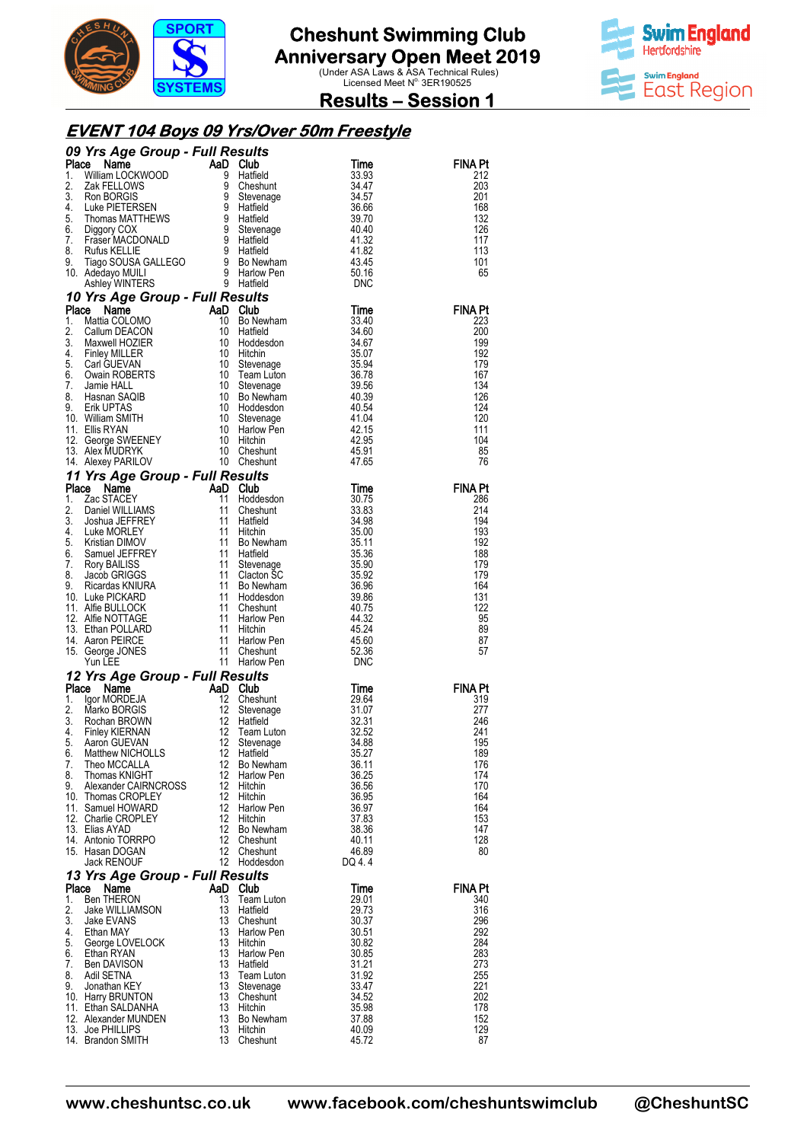



**Results – Session 1** 

#### **EVENT 104 Boys 09 Yrs/Over 50m Freestyle**

|             | 09 Yrs Age Group - Full Results                          |               |                             |                     |                       |
|-------------|----------------------------------------------------------|---------------|-----------------------------|---------------------|-----------------------|
| Place<br>1. | Name<br>William LOCKWOOD                                 | AaD Club<br>9 | Hatfield                    | Time<br>33.93       | <b>FINA Pt</b><br>212 |
| 2.          | Zak FELLOWS                                              | 9             | Cheshunt                    | 34.47               | 203                   |
| 3.          |                                                          | 9             | Stevenage                   | 34.57               | 201                   |
| 4.          |                                                          | 9             | Hatfield                    | 36.66               | 168                   |
| 5.<br>6.    | Thomas MATTHEWS                                          | $\frac{9}{9}$ | Hatfield                    | 39.70<br>40.40      | 132<br>126            |
| 7.          | Diggory COX<br>Praser MACDONALD                          |               | Stevenage<br>Hattield       | 41.32               | 117                   |
| 8.          | Rufus KELLIE                                             |               | 9 Hatfield                  | 41.82               | 113                   |
| 9.          |                                                          |               |                             | 43.45               | 101                   |
|             | 10. Adedayo MUILI                                        |               |                             | 50.16<br><b>DNC</b> | 65                    |
|             | 10 Yrs Age Group - Full Results                          |               |                             |                     |                       |
| Place       | Name                                                     | AaD Club      |                             | Time                | FINA Pt               |
| 1.          | Mattia COLOMO                                            | 10            | Bo Newham                   | 33.40               | 223                   |
| 2.<br>3.    | Callum DEACON                                            | 10            | Hatfield                    | 34.60               | 200                   |
| 4.          | Maxwell HOZIER<br><b>Finley MILLER</b>                   | 10<br>10      | Hoddesdon<br>Hitchin        | 34.67<br>35.07      | 199<br>192            |
| 5.          | Carl GUEVAN                                              | 10            | Stevenage                   | 35.94               | 179                   |
| 6.          | <b>Owain ROBERTS</b>                                     | 10            | Team Luton                  | 36.78               | 167                   |
| 7.<br>8.    | Jamie HALL<br>Hasnan SAQIB                               | 10<br>10      | Stevenage<br>Bo Newham      | 39.56<br>40.39      | 134<br>126            |
| 9.          | Erik UPTAS                                               | 10            | Hoddesdon                   | 40.54               | 124                   |
|             | 10. William SMITH                                        | 10            | Stevenage                   | 41.04               | 120                   |
|             | 11. Ellis RYAN                                           | 10            | Harlow Pen                  | 42.15               | 111                   |
|             | 12. George SWEENEY<br>13. Alex MUDRYK<br>13. Alex MUDRYK | - 10<br>10    | Hitchin<br>Cheshunt         | 42.95<br>45.91      | 104<br>85             |
|             | 14. Alexey PARILOV                                       |               | 10 Cheshunt                 | 47.65               | 76                    |
|             | 11 Yrs Age Group - Full Results                          |               |                             |                     |                       |
| Place       | Name                                                     | AaD           | Club                        | Time                | FINA Pt               |
| 1.          | Zac STACEY                                               | 11            | Hoddesdon                   | 30.75               | 286                   |
| 2.<br>3.    | Daniel WILLIAMS<br>Joshua JEFFREY                        | 11<br>-11     | Cheshunt<br>Hatfield        | 33.83<br>34.98      | 214<br>194            |
| 4.          | Luke MORLEY                                              | 11            | Hitchin                     | 35.00               | 193                   |
| 5.          | Kristian DIMOV                                           | 11            | Bo Newham                   | 35.11               | 192                   |
| 6.          | Samuel JEFFREY                                           | 11            | Hatfield                    | 35.36               | 188                   |
| 7.<br>8.    | Rory BAILISS<br>Jacob GRIGGS                             | 11<br>11      | Stevenage<br>Clacton SC     | 35.90<br>35.92      | 179<br>179            |
| 9.          | Ricardas KNIURA                                          | 11            | Bo Newham                   | 36.96               | 164                   |
|             | 10. Luke PICKARD                                         | 11            | Hoddesdon                   | 39.86               | 131                   |
|             | 11. Alfie BULLOCK<br>12. Alfie NOTTAGE                   | 11<br>11      | Cheshunt<br>Harlow Pen      | 40.75<br>44.32      | 122<br>95             |
|             | 13. Ethan POLLARD                                        | 11            | Hitchin                     | 45.24               | 89                    |
|             | 14. Aaron PEIRCE                                         | 11            | Harlow Pen                  | 45.60               | 87                    |
|             | 15. George JONES                                         | 11            | Cheshunt                    | 52.36               | 57                    |
|             | Yun LEE                                                  | 11            | Harlow Pen                  | <b>DNC</b>          |                       |
|             | 12 Yrs Age Group - Full Results<br>Place<br>Name         | AaD Club      |                             | Time                | <b>FINA Pt</b>        |
| 1.          | Igor MORDEJA                                             | 12            | Cheshunt                    | 29.64               | 319                   |
| 2.          | Marko BORGIS                                             | 12            | Stevenage                   | 31.07               | 277                   |
| 3.          | Rochan BROWN                                             | 12            | Hatfield                    | 32.31               | 246                   |
| 4.<br>5.    | <b>Finley KIERNAN</b><br>Aaron GUEVAN                    | 12<br>12      | Team Luton<br>Stevenage     | 32.52<br>34.88      | 241<br>195            |
|             | 6. Matthew NICHOLLS                                      |               | 12 Hatfield                 | 35.27               | 189                   |
| 7.          | Theo MCCALLA                                             |               | 12 Bo Newham                | 36.11               | 176                   |
| 8.          | Thomas KNIGHT<br>9. Alexander CAIRNCROSS                 |               | 12 Harlow Pen<br>12 Hitchin | 36.25<br>36.56      | 174<br>170            |
|             | 10. Thomas CROPLEY                                       | 12            | Hitchin                     | 36.95               | 164                   |
|             | 11. Samuel HOWARD                                        |               | 12 Harlow Pen               | 36.97               | 164                   |
|             | 12. Charlie CROPLEY<br>13. Elias AYAD                    | 12            | 12 Hitchin<br>Bo Newham     | 37.83<br>38.36      | 153<br>147            |
|             | 14. Antonio TORRPO                                       |               | 12 Cheshunt                 | 40.11               | 128                   |
|             | 15. Hasan DOGAN                                          |               | 12 Cheshunt                 | 46.89               | 80                    |
|             | Jack RENOUF                                              |               | 12 Hoddesdon                | DQ 4.4              |                       |
|             | 13 Yrs Age Group - Full Results                          |               |                             |                     |                       |
| Place       | Name                                                     | AaD Club      |                             | Time                | <b>FINA Pt</b>        |
| 1.<br>2.    | <b>Ben THERON</b><br>Jake WILLIAMSON                     | 13<br>13      | Team Luton<br>Hatfield      | 29.01<br>29.73      | 340<br>316            |
| 3.          | Jake EVANS                                               | 13            | Cheshunt                    | 30.37               | 296                   |
| 4.          | Ethan MAY                                                | 13            | Harlow Pen                  | 30.51               | 292                   |
| 5.<br>6.    | George LOVELOCK<br>Ethan RYAN                            | 13<br>13      | Hitchin<br>Harlow Pen       | 30.82<br>30.85      | 284<br>283            |
| 7.          | Ben DAVISON                                              | 13            | Hatfield                    | 31.21               | 273                   |
| 8.          | Adil SETNA                                               | 13            | Team Luton                  | 31.92               | 255                   |
| 9.          | Jonathan KEY                                             | 13<br>13      | Stevenage                   | 33.47               | 221                   |
|             | 10. Harry BRUNTON<br>11. Ethan SALDANHA                  | 13            | Cheshunt<br>Hitchin         | 34.52<br>35.98      | 202<br>178            |
|             | 12. Alexander MUNDEN                                     |               | 13 Bo Newham                | 37.88               | 152                   |
|             | 13. Joe PHILLIPS                                         |               | 13 Hitchin                  | 40.09               | 129                   |
|             | 14. Brandon SMITH                                        |               | 13 Cheshunt                 | 45.72               | 87                    |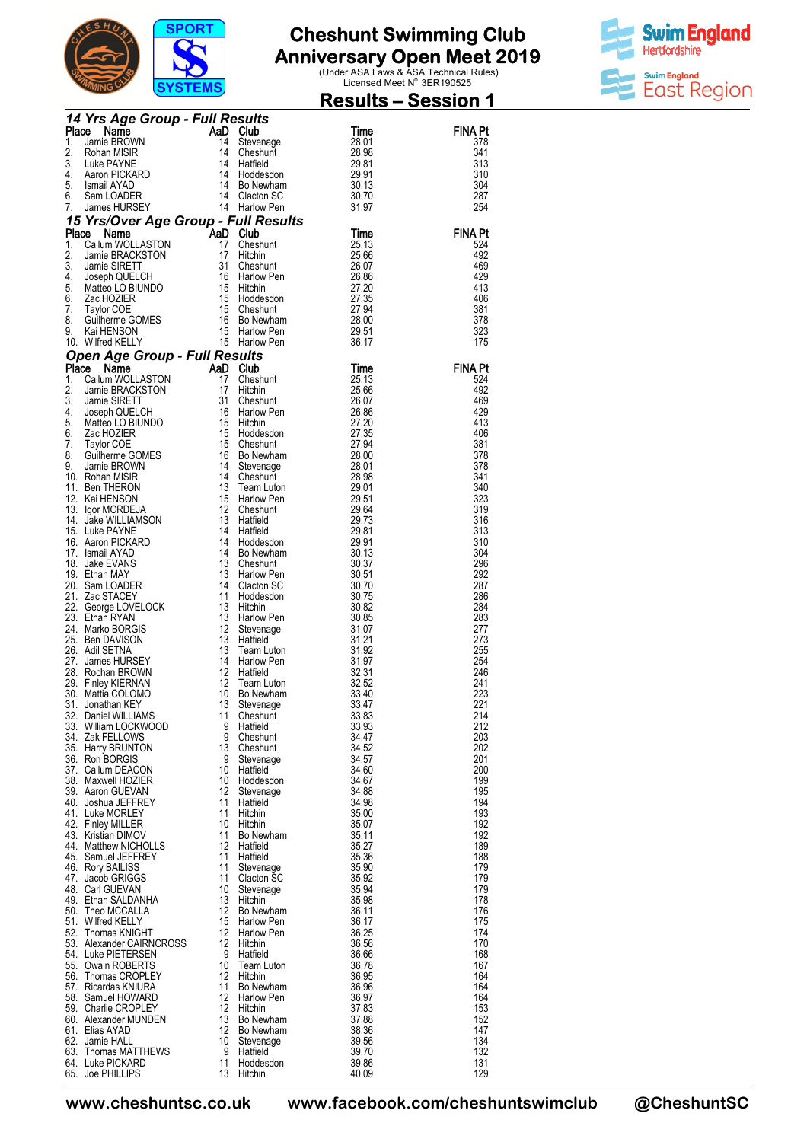

**Anniversary Open Meet 2019**<br>
Under ASA Laws & ASA Technical Rules)<br>
Licensed Meet N<sup>o.</sup> 3ER190525



|          |                                                                                                                                                                                                                                                        | <u>3131 EMS</u>         |                                     | <u> Results – Session 1</u>      |                       |
|----------|--------------------------------------------------------------------------------------------------------------------------------------------------------------------------------------------------------------------------------------------------------|-------------------------|-------------------------------------|----------------------------------|-----------------------|
|          | 14 Yrs Age Group - Full Results<br>AaD Club                                                                                                                                                                                                            |                         |                                     |                                  |                       |
|          |                                                                                                                                                                                                                                                        |                         |                                     | Time                             | <b>FINA Pt</b>        |
| 1.<br>2. |                                                                                                                                                                                                                                                        |                         |                                     | 28.01<br>28.98                   | 378<br>341            |
| 3.       |                                                                                                                                                                                                                                                        |                         |                                     | 29.81                            | 313                   |
| 4.<br>5. |                                                                                                                                                                                                                                                        |                         |                                     | 29.91<br>30.13                   | 310<br>304            |
| 6.       |                                                                                                                                                                                                                                                        |                         |                                     | 30.70                            | 287                   |
| 7.       | 4 Yrs Age Group - Full Results<br>ace Name AaD Club<br>Jamie BROWN 14 Cheshan MISIR<br>Rohan MISIR 14 Cheshant<br>Luke PAYNE 14 Hatfield<br>Aaron PICKARD 14 Hotdesdon<br>Ismail AYAD 14 Bo Newham<br>Sam LOADER 14 Clacton SC<br>James HURSEY         |                         |                                     | 31.97                            | 254                   |
|          | 15 Yrs/Over Age Group - Full Results<br>Place Name - AaD Club                                                                                                                                                                                          |                         |                                     |                                  |                       |
| 1.       | Place Name                                                                                                                                                                                                                                             |                         |                                     | Time<br>25.13                    | <b>FINA Pt</b><br>524 |
| 2.       |                                                                                                                                                                                                                                                        |                         |                                     | 25.66                            | 492                   |
| 3.<br>4. |                                                                                                                                                                                                                                                        |                         |                                     | 26.07                            | 469<br>429            |
| 5.       |                                                                                                                                                                                                                                                        |                         |                                     | 26.86<br>26.86<br>27.20<br>27.35 | 413                   |
| 6.       |                                                                                                                                                                                                                                                        |                         |                                     | 27.35                            | 406                   |
| 7.<br>8. |                                                                                                                                                                                                                                                        |                         |                                     | 27.94<br>28.00                   | 381<br>378            |
| 9.       | <b>FISTOVER Age Group - Full Results<br/> Ce Name BRACKSTON</b><br>Callum WOLLASTON 17 Hitchin<br>Jamie BRACKSTON 17 Hitchin<br>Jamie SIRETT 31 Cheshunt<br>Joseph QUELCH 16 Harlow Pen<br>Zac HOZIER 15 Hoddsdon<br>Taylor COE 15 Cheshunt<br>Guilhe  |                         |                                     | 29.51                            | 323                   |
|          | 10. Wilfred KELLY                                                                                                                                                                                                                                      |                         |                                     | 36.17                            | 175                   |
|          | 10. Wilfred KELLY<br>16. Wilfred KELLY<br>16. Harlow Pen<br>1. Callum WOLLASTON<br>17. Cheshunt<br>17. Callum WOLLASTON<br>17. Harlow Pen<br>18RACKSTON<br>17. Harlow Pen<br>18. Jamie SRETT<br>4. Joseph QUELCH<br>18. Harlow Pen<br>5. Matteo LO BIU |                         |                                     |                                  | <b>FINA Pt</b>        |
|          |                                                                                                                                                                                                                                                        |                         |                                     | Time<br>25.13                    | 524                   |
|          |                                                                                                                                                                                                                                                        |                         |                                     |                                  | 492                   |
|          |                                                                                                                                                                                                                                                        |                         |                                     |                                  | 469<br>429            |
|          |                                                                                                                                                                                                                                                        |                         |                                     |                                  | 413                   |
|          |                                                                                                                                                                                                                                                        |                         |                                     |                                  | 406                   |
|          |                                                                                                                                                                                                                                                        |                         |                                     |                                  | 381<br>378            |
|          |                                                                                                                                                                                                                                                        |                         |                                     |                                  | 378                   |
|          |                                                                                                                                                                                                                                                        |                         |                                     |                                  | 341<br>340            |
|          |                                                                                                                                                                                                                                                        |                         |                                     |                                  | 323                   |
|          |                                                                                                                                                                                                                                                        |                         |                                     |                                  | 319                   |
|          |                                                                                                                                                                                                                                                        |                         |                                     |                                  | 316<br>313            |
|          |                                                                                                                                                                                                                                                        |                         |                                     |                                  | 310                   |
|          |                                                                                                                                                                                                                                                        |                         |                                     |                                  | 304<br>296            |
|          |                                                                                                                                                                                                                                                        |                         |                                     | 30.51                            | 292                   |
|          |                                                                                                                                                                                                                                                        |                         |                                     | 30.70                            | 287                   |
|          | 21. Zac STACEY<br>22. George LOVELOCK<br>23. Ethan RYAN<br>24. Marko BORGIS<br>25. Ben DAVISON<br>26. Marko BORGIS<br>26. Marko BORGIS<br>26. Harlow 13. Hatfield<br>26. Rochan BROWN<br>27. James HURSEY<br>27. James HURSEY<br>29. Rochan BROWN<br>2 |                         |                                     | 30.75<br>30.82                   | 286<br>284            |
|          |                                                                                                                                                                                                                                                        |                         | Harlow Pen                          | 30.85                            | 283                   |
|          |                                                                                                                                                                                                                                                        |                         | Stevenage<br>Hatfield<br>Team Luton | 31.07<br>31.21                   | 277<br>273            |
|          |                                                                                                                                                                                                                                                        |                         |                                     | 31.92                            | 255                   |
|          |                                                                                                                                                                                                                                                        |                         | Harlow Pen                          | 31.97                            | 254<br>246            |
|          |                                                                                                                                                                                                                                                        |                         | Hatfield<br>Team Luton              | 32.31<br>32.52                   | 241                   |
|          | 30. Mattia COLOMO                                                                                                                                                                                                                                      |                         | 10 Bo Newham                        | 33.40                            | 223                   |
|          | 31. Jonathan KEY<br>32. Daniel WILLIAMS                                                                                                                                                                                                                | 13<br>11                | Stevenage<br>Cheshunt               | 33.47<br>33.83                   | 221<br>214            |
|          | 33. William LOCKWOOD                                                                                                                                                                                                                                   | 9                       | Hatfield                            | 33.93                            | 212                   |
|          | 34. Zak FELLOWS<br>35. Harry BRUNTON                                                                                                                                                                                                                   | 9<br>13                 | Cheshunt<br>Cheshunt                | 34.47<br>34.52                   | 203<br>202            |
|          | 36. Ron BORGIS                                                                                                                                                                                                                                         | -9                      | Stevenage                           | 34.57                            | 201                   |
|          | 37. Callum DEACON                                                                                                                                                                                                                                      | 10                      | Hatfield                            | 34.60                            | 200                   |
|          | 38. Maxwell HOZIER<br>39. Aaron GUEVAN                                                                                                                                                                                                                 | 10<br>12                | Hoddesdon<br>Stevenage              | 34.67<br>34.88                   | 199<br>195            |
|          | 40. Joshua JEFFREY                                                                                                                                                                                                                                     | 11                      | Hatfield                            | 34.98                            | 194                   |
|          | 41. Luke MORLEY<br>42. Finley MILLER                                                                                                                                                                                                                   | 11<br>10                | Hitchin<br>Hitchin                  | 35.00<br>35.07                   | 193<br>192            |
|          | 43. Kristian DIMOV                                                                                                                                                                                                                                     | 11                      | Bo Newham                           | 35.11                            | 192                   |
|          | 44. Matthew NICHOLLS                                                                                                                                                                                                                                   | 12                      | Hatfield                            | 35.27                            | 189                   |
|          | 45. Samuel JEFFREY<br>46. Rory BAILISS                                                                                                                                                                                                                 | 11<br>11                | Hatfield<br>Stevenage               | 35.36<br>35.90                   | 188<br>179            |
|          | 47. Jacob GRIGGS                                                                                                                                                                                                                                       | 11                      | Clacton SC                          | 35.92                            | 179                   |
|          | 48. Carl GUEVAN<br>49. Ethan SALDANHA                                                                                                                                                                                                                  | 10<br>13                | Stevenage<br>Hitchin                | 35.94<br>35.98                   | 179<br>178            |
|          | 50. Theo MCCALLA                                                                                                                                                                                                                                       | 12                      | Bo Newham                           | 36.11                            | 176                   |
|          | 51. Wilfred KELLY                                                                                                                                                                                                                                      | 15                      | Harlow Pen                          | 36.17                            | 175                   |
|          | 52. Thomas KNIGHT<br>53. Alexander CAIRNCROSS                                                                                                                                                                                                          | $12 \overline{ }$<br>12 | Harlow Pen<br>Hitchin               | 36.25<br>36.56                   | 174<br>170            |
|          | 54. Luke PIETERSEN                                                                                                                                                                                                                                     | -9                      | Hatfield                            | 36.66                            | 168                   |
|          | 55. Owain ROBERTS<br>56. Thomas CROPLEY                                                                                                                                                                                                                | 10<br>12                | Team Luton<br>Hitchin               | 36.78<br>36.95                   | 167<br>164            |
|          | 57. Ricardas KNIURA                                                                                                                                                                                                                                    | 11                      | Bo Newham                           | 36.96                            | 164                   |
|          | 58. Samuel HOWARD                                                                                                                                                                                                                                      | $12 \overline{ }$       | Harlow Pen                          | 36.97                            | 164                   |
|          | 59. Charlie CROPLEY<br>60. Alexander MUNDEN                                                                                                                                                                                                            | 12<br>13                | Hitchin<br>Bo Newham                | 37.83<br>37.88                   | 153<br>152            |
|          | 61. Elias AYAD                                                                                                                                                                                                                                         | 12                      | Bo Newham                           | 38.36                            | 147                   |
|          | 62. Jamie HALL<br>63. Thomas MATTHEWS                                                                                                                                                                                                                  | 10<br>-9                | Stevenage<br>Hatfield               | 39.56<br>39.70                   | 134<br>132            |
|          | 64. Luke PICKARD                                                                                                                                                                                                                                       | 11                      | Hoddesdon                           | 39.86                            | 131                   |
|          | 65. Joe PHILLIPS                                                                                                                                                                                                                                       | 13                      | Hitchin                             | 40.09                            | 129                   |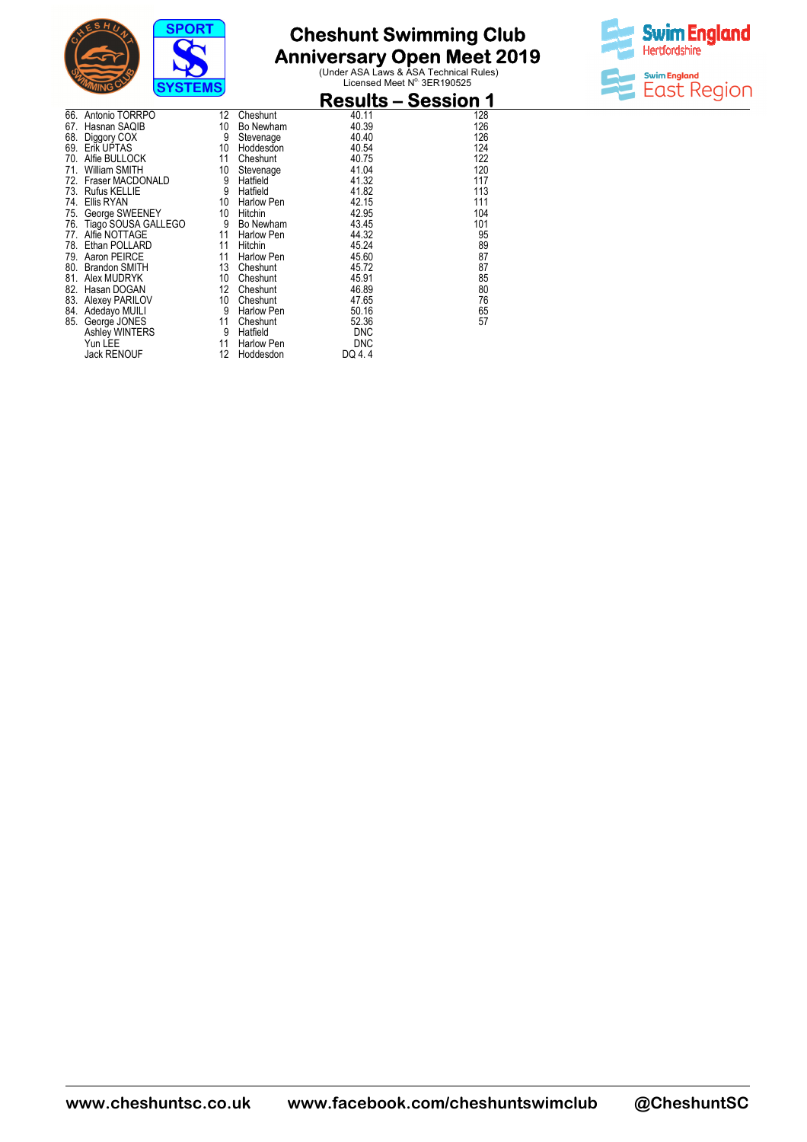

**Anniversary Open Meet 2019**<br>
Under ASA Laws & ASA Technical Rules)<br>
Licensed Meet N<sup>o.</sup> 3ER190525



|     | שוויי<br>$5131$ $-101$ |    |            | <b>Results – Session 1</b> |     |
|-----|------------------------|----|------------|----------------------------|-----|
| 66. | Antonio TORRPO         | 12 | Cheshunt   | 40.11                      | 128 |
| 67. | Hasnan SAQIB           | 10 | Bo Newham  | 40.39                      | 126 |
| 68. | Diggory COX            | 9  | Stevenage  | 40.40                      | 126 |
| 69. | Erik UPTAS             | 10 | Hoddesdon  | 40.54                      | 124 |
| 70. | Alfie BULLOCK          | 11 | Cheshunt   | 40.75                      | 122 |
| 71. | William SMITH          | 10 | Stevenage  | 41.04                      | 120 |
| 72. | Fraser MACDONALD       | 9  | Hatfield   | 41.32                      | 117 |
| 73. | <b>Rufus KELLIE</b>    | 9  | Hatfield   | 41.82                      | 113 |
| 74. | Ellis RYAN             | 10 | Harlow Pen | 42.15                      | 111 |
| 75. | George SWEENEY         | 10 | Hitchin    | 42.95                      | 104 |
| 76. | Tiago SOUSA GALLEGO    | 9  | Bo Newham  | 43.45                      | 101 |
| 77. | Alfie NOTTAGE          | 11 | Harlow Pen | 44.32                      | 95  |
| 78. | Ethan POLLARD          | 11 | Hitchin    | 45.24                      | 89  |
| 79. | Aaron PEIRCE           | 11 | Harlow Pen | 45.60                      | 87  |
| 80. | <b>Brandon SMITH</b>   | 13 | Cheshunt   | 45.72                      | 87  |
| 81. | Alex MUDRYK            | 10 | Cheshunt   | 45.91                      | 85  |
| 82. | Hasan DOGAN            | 12 | Cheshunt   | 46.89                      | 80  |
| 83. | Alexey PARILOV         | 10 | Cheshunt   | 47.65                      | 76  |
| 84. | Adedayo MUILI          | 9  | Harlow Pen | 50.16                      | 65  |
| 85. | George JONES           | 11 | Cheshunt   | 52.36                      | 57  |
|     | Ashley WINTERS         | 9  | Hatfield   | <b>DNC</b>                 |     |
|     | Yun LEE                | 11 | Harlow Pen | <b>DNC</b>                 |     |
|     | <b>Jack RENOUF</b>     | 12 | Hoddesdon  | DQ 4.4                     |     |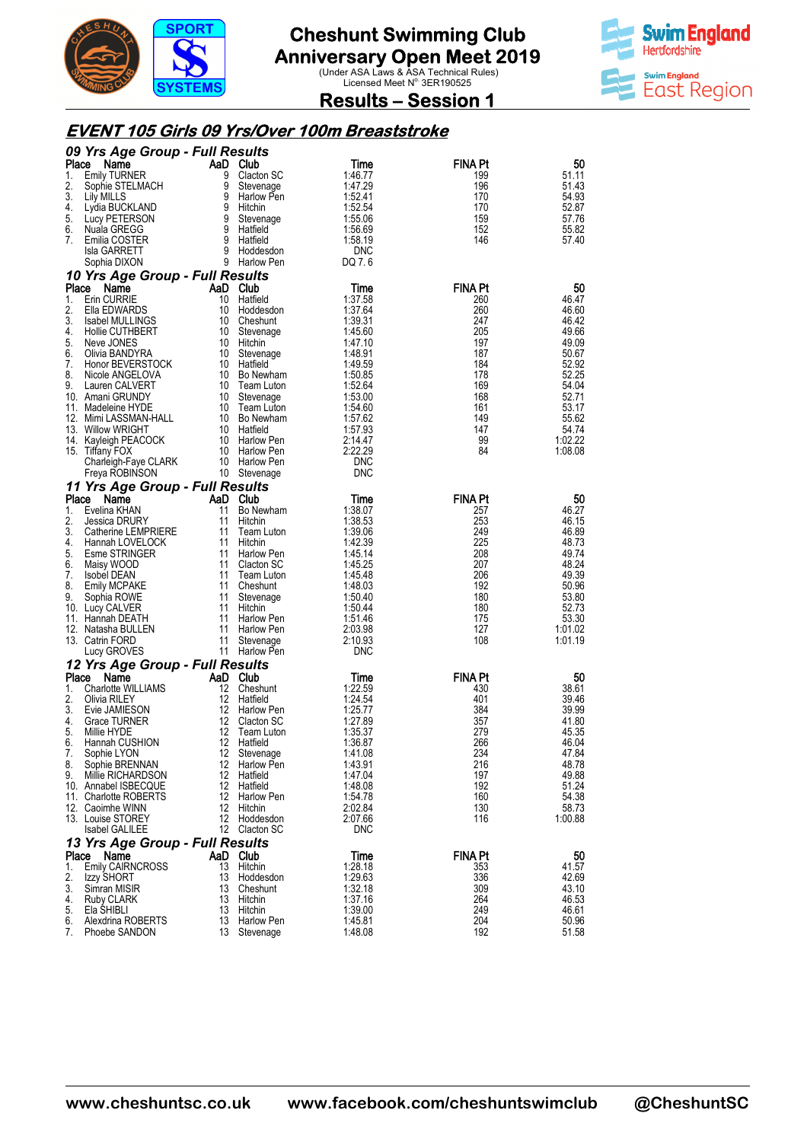



#### **Results – Session 1**

#### **EVENT 105 Girls 09 Yrs/Over 100m Breaststroke Breaststroke**

|          | 09 Yrs Age Group - Full Results            |          |                            |                          |                |                  |
|----------|--------------------------------------------|----------|----------------------------|--------------------------|----------------|------------------|
| Place    | Name                                       | AaD      | <b>Club</b>                | Time                     | <b>FINA Pt</b> | 50               |
| 1.       | <b>Emily TURNER</b>                        | 9        | Clacton SC                 | 1:46.77                  | 199            | 51.11            |
| 2.<br>3. | Sophie STELMACH<br>Lily MILLS              | 9<br>9   | Stevenage<br>Harlow Pen    | 1:47.29<br>1:52.41       | 196<br>170     | 51.43<br>54.93   |
| 4.       | Lydia BUCKLAND                             | 9        | Hitchin                    | 1:52.54                  | 170            | 52.87            |
| 5.       | Lucy PETERSON                              | 9        | Stevenage                  | 1:55.06                  | 159            | 57.76            |
| 6.       | Nuala GREGG                                | 9        | Hatfield                   | 1:56.69                  | 152            | 55.82            |
| 7.       | Emilia COSTER                              | 9<br>9   | Hatfield                   | 1:58.19                  | 146            | 57.40            |
|          | Isla GARRETT<br>Sophia DIXON               |          | Hoddesdon<br>9 Harlow Pen  | <b>DNC</b><br>DQ 7.6     |                |                  |
|          | 10 Yrs Age Group - Full Results            |          |                            |                          |                |                  |
| Place    | Name                                       | AaD Club |                            | Time                     | FINA Pt        | 50               |
| 1.       | <b>Erin CURRIE</b>                         | 10       | Hatfield                   | 1:37.58                  | 260            | 46.47            |
| 2.       | Ella EDWARDS                               | 10       | Hoddesdon                  | 1:37.64                  | 260            | 46.60            |
| 3.       | Isabel MULLINGS                            | 10       | Cheshunt                   | 1:39.31                  | 247            | 46.42            |
| 4.<br>5. | Hollie CUTHBERT<br>Neve JONES              | 10<br>10 | Stevenage<br>Hitchin       | 1:45.60<br>1:47.10       | 205<br>197     | 49.66<br>49.09   |
| 6.       | Olivia BANDYRA                             | 10       | Stevenage                  | 1:48.91                  | 187            | 50.67            |
| 7.       | Honor BEVERSTOCK                           | 10       | Hatfield                   | 1:49.59                  | 184            | 52.92            |
| 8.       | Nicole ANGELOVA                            | 10       | <b>Bo Newham</b>           | 1:50.85                  | 178            | 52.25            |
| 9.       | Lauren CALVERT                             | 10       | Team Luton                 | 1:52.64                  | 169            | 54.04            |
|          | 10. Amani GRUNDY<br>11. Madeleine HYDE     | 10<br>10 | Stevenage<br>Team Luton    | 1:53.00<br>1:54.60       | 168<br>161     | 52.71<br>53.17   |
|          | 12. Mimi LASSMAN-HALL                      | 10       | Bo Newham                  | 1:57.62                  | 149            | 55.62            |
|          | 13. Willow WRIGHT                          | 10       | Hatfield                   | 1:57.93                  | 147            | 54.74            |
|          | 14. Kayleigh PEACOCK                       | 10       | <b>Harlow Pen</b>          | 2:14.47                  | 99             | 1:02.22          |
|          | 15. Tiffany FOX                            | 10       | Harlow Pen                 | 2:22.29                  | 84             | 1:08.08          |
|          | Charleigh-Faye CLARK<br>Freya ROBINSON     | 10       | Harlow Pen                 | <b>DNC</b><br><b>DNC</b> |                |                  |
|          | 11 Yrs Age Group - Full Results            |          | 10 Stevenage               |                          |                |                  |
| Place    | Name                                       | AaD      | Club                       | Time                     | <b>FINA Pt</b> | 50               |
| 1.       | Evelina KHAN                               | 11       | Bo Newham                  | 1:38.07                  | 257            | 46.27            |
| 2.       | Jessica DRURY                              | 11       | Hitchin                    | 1:38.53                  | 253            | 46.15            |
| 3.       | Catherine LEMPRIERE                        | 11       | Team Luton                 | 1:39.06                  | 249            | 46.89            |
| 4.       | Hannah LOVELOCK                            | 11       | Hitchin                    | 1:42.39                  | 225            | 48.73<br>49.74   |
| 5.<br>6. | Esme STRINGER<br>Maisy WOOD                | 11<br>11 | Harlow Pen<br>Clacton SC   | 1.45.14<br>1:45.25       | 208<br>207     | 48.24            |
| 7.       | <b>Isobel DEAN</b>                         | 11       | Team Luton                 | 1:45.48                  | 206            | 49.39            |
| 8.       | Emily MCPAKE                               | 11       | Cheshunt                   | 1.48.03                  | 192            | 50.96            |
| 9.       | Sophia ROWE                                | 11       | Stevenage                  | 1:50.40                  | 180            | 53.80            |
|          | 10. Lucy CALVER                            | 11       | Hitchin                    | 1:50.44                  | 180            | 52.73            |
|          | 11. Hannah DEATH<br>12. Natasha BULLEN     | 11<br>11 | Harlow Pen<br>Harlow Pen   | 1:51.46<br>2:03.98       | 175<br>127     | 53.30<br>1:01.02 |
|          | 13. Catrin FORD                            | 11       | Stevenage                  | 2:10.93                  | 108            | 1:01.19          |
|          | Lucy GROVES                                | 11       | Harlow Pen                 | <b>DNC</b>               |                |                  |
|          | 12 Yrs Age Group - Full Results            |          |                            |                          |                |                  |
| Place    | Name                                       | AaD      | Club                       | Time                     | <b>FINA Pt</b> | 50               |
| 1.<br>2. | <b>Charlotte WILLIAMS</b>                  | 12<br>12 | Cheshunt                   | 1:22.59                  | 430            | 38.61            |
| 3.       | Olivia RILEY<br>Evie JAMIESON              | 12       | Hatfield<br>Harlow Pen     | 1:24.54<br>1:25.77       | 401<br>384     | 39.46<br>39.99   |
| 4.       | <b>Grace TURNER</b>                        | 12       | Clacton SC                 | 1:27.89                  | 357            | 41.80            |
| 5.       | Millie HYDE                                | 12       | Team Luton                 | 1:35.37                  | 279            | 45.35            |
| 6.       | Hannah CUSHION                             | 12       | Hatfield                   | 1:36.87                  | 266            | 46.04            |
| 7.<br>8. | Sophie LYON<br>Sophie BRENNAN              | 12<br>12 | Stevenage<br>Harlow Pen    | 1:41.08<br>1:43.91       | 234<br>216     | 47.84<br>48.78   |
| 9.       | Millie RICHARDSON                          | 12       | Hatfield                   | 1:47.04                  | 197            | 49.88            |
|          | 10. Annabel ISBECQUE                       | 12       | Hatfield                   | 1:48.08                  | 192            | 51.24            |
|          | 11. Charlotte ROBERTS                      | 12       | Harlow Pen                 | 1:54.78                  | 160            | 54.38            |
|          | 12. Caoimhe WINN                           | 12       | Hitchin                    | 2:02.84                  | 130            | 58.73            |
|          | 13. Louise STOREY<br><b>Isabel GALILEE</b> | 12       | Hoddesdon<br>12 Clacton SC | 2:07.66<br><b>DNC</b>    | 116            | 1:00.88          |
|          | 13 Yrs Age Group - Full Results            |          |                            |                          |                |                  |
| Place    | Name                                       | AaD Club |                            | Time                     | <b>FINA Pt</b> | 50               |
| 1.       | <b>Emily CAIRNCROSS</b>                    | 13       | Hitchin                    | 1:28.18                  | 353            | 41.57            |
| 2.       | Izzy SHORT                                 | 13       | Hoddesdon                  | 1:29.63                  | 336            | 42.69            |
| 3.       | Simran MISIR                               | 13       | Cheshunt                   | 1:32.18                  | 309            | 43.10            |
| 4.<br>5. | Ruby CLARK<br>Ela SHIBLI                   | 13<br>13 | Hitchin<br>Hitchin         | 1:37.16<br>1:39.00       | 264<br>249     | 46.53<br>46.61   |
| 6.       | Alexdrina ROBERTS                          | 13       | Harlow Pen                 | 1:45.81                  | 204            | 50.96            |
| 7.       | Phoebe SANDON                              | 13       | Stevenage                  | 1:48.08                  | 192            | 51.58            |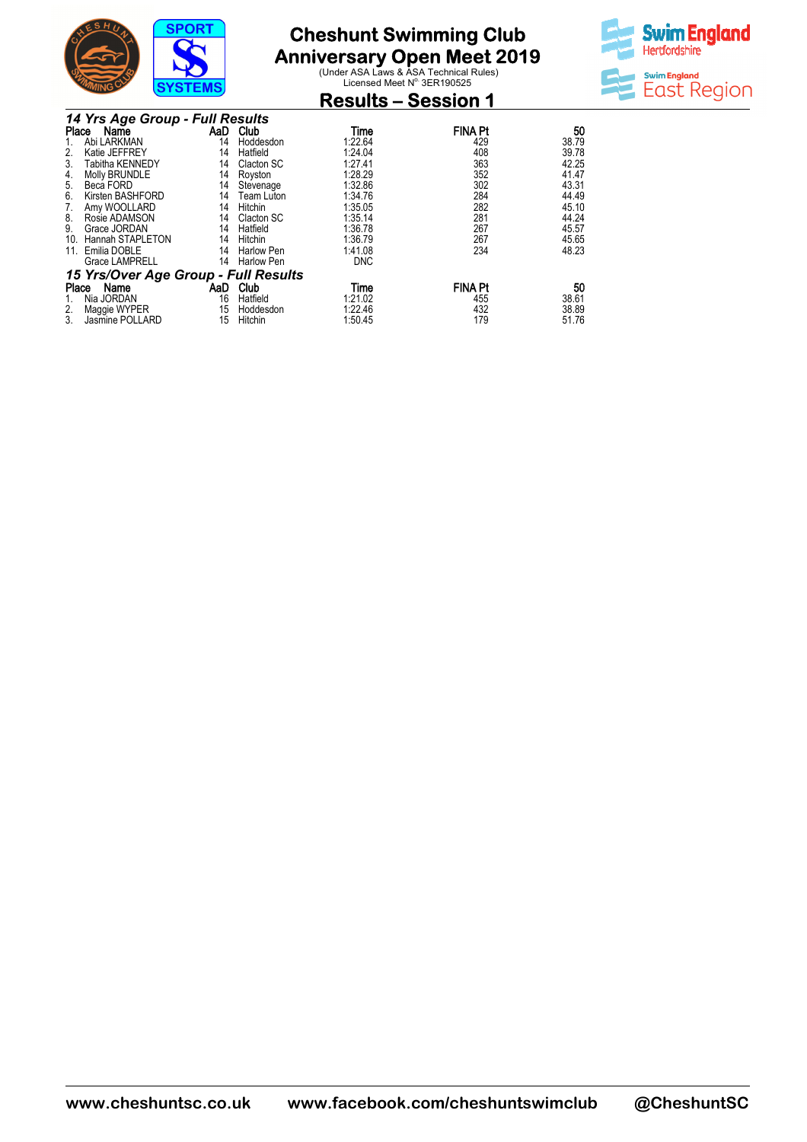

# **Anniversary Open Meet 2019**<br>
Under ASA Laws & ASA Technical Rules)<br>
Licensed Meet N<sup>o.</sup> 3ER190525

**Results – Session 1** 



|       | 14 Yrs Age Group - Full Results      |     |                   |            |                |       |  |  |
|-------|--------------------------------------|-----|-------------------|------------|----------------|-------|--|--|
| Place | Name                                 | AaD | Club              | Time       | <b>FINA Pt</b> | 50    |  |  |
|       | Abi LARKMAN                          | 14  | Hoddesdon         | 1:22.64    | 429            | 38.79 |  |  |
|       | Katie JEFFREY                        | 14  | Hatfield          | 1:24.04    | 408            | 39.78 |  |  |
| 3.    | Tabitha KENNEDY                      | 14  | Clacton SC        | 1:27.41    | 363            | 42.25 |  |  |
| 4.    | Molly BRUNDLE                        | 14  | Royston           | 1:28.29    | 352            | 41.47 |  |  |
| 5.    | Beca FORD                            | 14  | Stevenage         | 1:32.86    | 302            | 43.31 |  |  |
| 6.    | Kirsten BASHFORD                     | 14  | Team Luton        | 1:34.76    | 284            | 44.49 |  |  |
| 7.    | Amy WOOLLARD                         | 14  | Hitchin           | 1:35.05    | 282            | 45.10 |  |  |
| 8.    | Rosie ADAMSON                        | 14  | Clacton SC        | 1:35.14    | 281            | 44.24 |  |  |
| 9.    | Grace JORDAN                         | 14  | Hatfield          | 1:36.78    | 267            | 45.57 |  |  |
| 10.   | Hannah STAPLETON                     | 14  | Hitchin           | 1:36.79    | 267            | 45.65 |  |  |
| 11.   | Emilia DOBLE                         | 14  | <b>Harlow Pen</b> | 1:41.08    | 234            | 48.23 |  |  |
|       | <b>Grace LAMPRELL</b>                | 14  | <b>Harlow Pen</b> | <b>DNC</b> |                |       |  |  |
|       | 15 Yrs/Over Age Group - Full Results |     |                   |            |                |       |  |  |
| Place | Name                                 | AaD | Club              | Time       | <b>FINA Pt</b> | 50    |  |  |
|       | Nia JORDAN                           | 16  | Hatfield          | 1:21.02    | 455            | 38.61 |  |  |
| 2.    | Maggie WYPER                         | 15  | Hoddesdon         | 1:22.46    | 432            | 38.89 |  |  |
| 3.    | Jasmine POLLARD                      | 15  | Hitchin           | 1:50.45    | 179            | 51.76 |  |  |

**www.cheshuntsc.co.uk www.facebook.com/cheshuntswimclub www.facebook.com/cheshuntswimclub @CheshuntSC**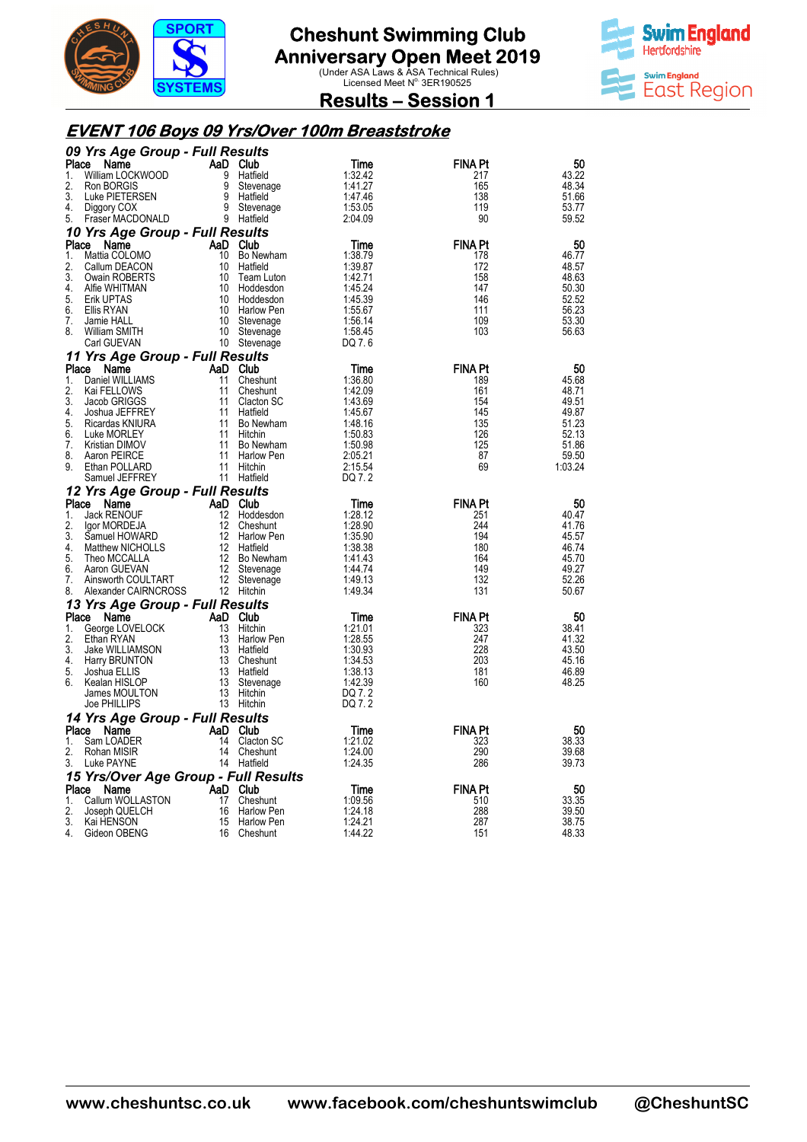



**Results – Session 1** 

#### **EVENT 106 Boys 09 Yrs/Over 100m Breaststroke**

|          | 09 Yrs Age Group - Full Results            |          |                            |                    |                |                |
|----------|--------------------------------------------|----------|----------------------------|--------------------|----------------|----------------|
| Place    | Name                                       |          | AaD Club                   | Time               | <b>FINA Pt</b> | 50             |
| 1.       | William LOCKWOOD                           | 9        | Hatfield                   | 1:32.42            | 217            | 43.22          |
| 2.       | Ron BORGIS                                 | 9        | Stevenage                  | 1:41.27            | 165            | 48.34          |
| 3.       | Luke PIETERSEN                             | 9        | Hatfield                   | 1:47.46            | 138            | 51.66          |
| 4.       | Diggory COX                                | 9        | Stevenage                  | 1:53.05            | 119            | 53.77          |
| 5.       | Fraser MACDONALD                           |          | 9 Hatfield                 | 2:04.09            | 90             | 59.52          |
|          | 10 Yrs Age Group - Full Results            |          |                            |                    |                |                |
| Place    | Name                                       |          | AaD Club                   | Time               | <b>FINA Pt</b> | 50             |
| 1.       | Mattia COLOMO                              | 10       | 10 Bo Newham               | 1:38.79            | 178            | 46.77          |
| 2.<br>3. | Callum DEACON<br>Owain ROBERTS             | 10       | Hatfield<br>Team Luton     | 1:39.87<br>1:42.71 | 172<br>158     | 48.57<br>48.63 |
| 4.       | Alfie WHITMAN                              | 10       | Hoddesdon                  | 1:45.24            | 147            | 50.30          |
| 5.       | Erik UPTAS                                 | 10       | Hoddesdon                  | 1:45.39            | 146            | 52.52          |
| 6.       | Ellis RYAN                                 |          | 10 Harlow Pen              | 1:55.67            | 111            | 56.23          |
| 7.       | Jamie HALL                                 | 10       | Stevenage                  | 1:56.14            | 109            | 53.30          |
| 8.       | William SMITH                              | 10       | Stevenage                  | 1:58.45            | 103            | 56.63          |
|          | Carl GUEVAN                                |          | 10 Stevenage               | DQ 7.6             |                |                |
|          | 11 Yrs Age Group - Full Results            |          |                            |                    |                |                |
| Place    | Name                                       |          | AaD Club                   | Time               | <b>FINA Pt</b> | 50             |
| 1.       | Daniel WILLIAMS                            | 11       | Cheshunt                   | 1:36.80            | 189            | 45.68          |
| 2.       | Kai FELLOWS                                | 11       | Cheshunt                   | 1:42.09            | 161            | 48.71          |
| 3.       | Jacob GRIGGS                               | 11       | Clacton SC                 | 1:43.69            | 154            | 49.51          |
| 4.       | Joshua JEFFREY                             | 11       | Hatfield                   | 1:45.67            | 145            | 49.87          |
| 5.       | Ricardas KNIURA                            | 11       | Bo Newham                  | 1:48.16            | 135            | 51.23          |
| 6.       | Luke MORLEY                                | 11       | Hitchin                    | 1:50.83            | 126            | 52.13          |
| 7.<br>8. | Kristian DIMOV<br>Aaron PEIRCE             | 11<br>11 | Bo Newham<br>Harlow Pen    | 1:50.98<br>2:05.21 | 125<br>87      | 51.86<br>59.50 |
| 9.       | Ethan POLLARD                              | 11       | Hitchin                    | 2:15.54            | 69             | 1:03.24        |
|          | Samuel JEFFREY                             |          | 11 Hatfield                | DQ 7.2             |                |                |
|          | 12 Yrs Age Group - Full Results            |          |                            |                    |                |                |
| Place    | Name                                       |          | AaD Club                   | Time               | <b>FINA Pt</b> | 50             |
| 1.       | <b>Jack RENOUF</b>                         | 12       | Hoddesdon                  | 1:28.12            | 251            | 40.47          |
| 2.       | Igor MORDEJA                               | 12       | Cheshunt                   | 1:28.90            | 244            | 41.76          |
| 3.       | Samuel HOWARD                              | 12       | Harlow Pen                 | 1:35.90            | 194            | 45.57          |
| 4.       | Matthew NICHOLLS                           |          | 12 Hatfield                | 1:38.38            | 180            | 46.74          |
| 5.       | Theo MCCALLA                               |          | 12 Bo Newham               | 1:41.43            | 164            | 45.70          |
| 6.       | Aaron GUEVAN                               |          | 12 Stevenage               | 1:44.74            | 149            | 49.27          |
| 7.       | Ainsworth COULTART<br>Alexander CAIRNCROSS |          | 12 Stevenage<br>12 Hitchin | 1:49.13<br>1:49.34 | 132<br>131     | 52.26<br>50.67 |
| 8.       |                                            |          |                            |                    |                |                |
|          | 13 Yrs Age Group - Full Results            |          |                            |                    |                |                |
| Place    | Name                                       |          | AaD Club                   | Time               | <b>FINA Pt</b> | 50             |
| 1.<br>2. | George LOVELOCK<br>Ethan RYAN              | 13<br>13 | Hitchin<br>Harlow Pen      | 1:21.01<br>1:28.55 | 323<br>247     | 38.41<br>41.32 |
| 3.       | Jake WILLIAMSON                            | 13       | Hatfield                   | 1:30.93            | 228            | 43.50          |
| 4.       | Harry BRUNTON                              |          | 13 Cheshunt                | 1:34.53            | 203            | 45.16          |
| 5.       | Joshua ELLIS                               |          | 13 Hatfield                | 1:38.13            | 181            | 46.89          |
| 6.       | Kealan HISLOP                              |          | 13 Stevenage               | 1:42.39            | 160            | 48.25          |
|          | James MOULTON                              |          | 13 Hitchin                 | DQ 7.2             |                |                |
|          | Joe PHILLIPS                               |          | 13 Hitchin                 | DQ 7.2             |                |                |
|          | 14 Yrs Age Group - Full Results            |          |                            |                    |                |                |
| Place    | Name                                       |          | AaD Club                   | Time               | <b>FINA Pt</b> | 50             |
| 1.       | Sam LOADER                                 | 14       | Clacton SC                 | 1:21.02            | 323            | 38.33          |
| 2.       | Rohan MISIR                                | 14       | Cheshunt                   | 1:24.00            | 290            | 39.68          |
| 3.       | Luke PAYNE                                 |          | 14 Hatfield                | 1:24.35            | 286            | 39.73          |
|          | 15 Yrs/Over Age Group - Full Results       |          |                            |                    |                |                |
| Place    | Name                                       |          | AaD Club                   | Time               | <b>FINA Pt</b> | 50             |
| 1.       | Callum WOLLASTON<br>Joseph QUELCH          | 17<br>16 | Cheshunt<br>Harlow Pen     | 1:09.56<br>1:24.18 | 510<br>288     | 33.35<br>39.50 |
|          |                                            |          |                            |                    |                |                |
| 2.       |                                            |          |                            |                    |                |                |
| 3.<br>4. | Kai HENSON<br>Gideon OBENG                 | 15       | Harlow Pen<br>16 Cheshunt  | 1:24.21<br>1:44.22 | 287<br>151     | 38.75<br>48.33 |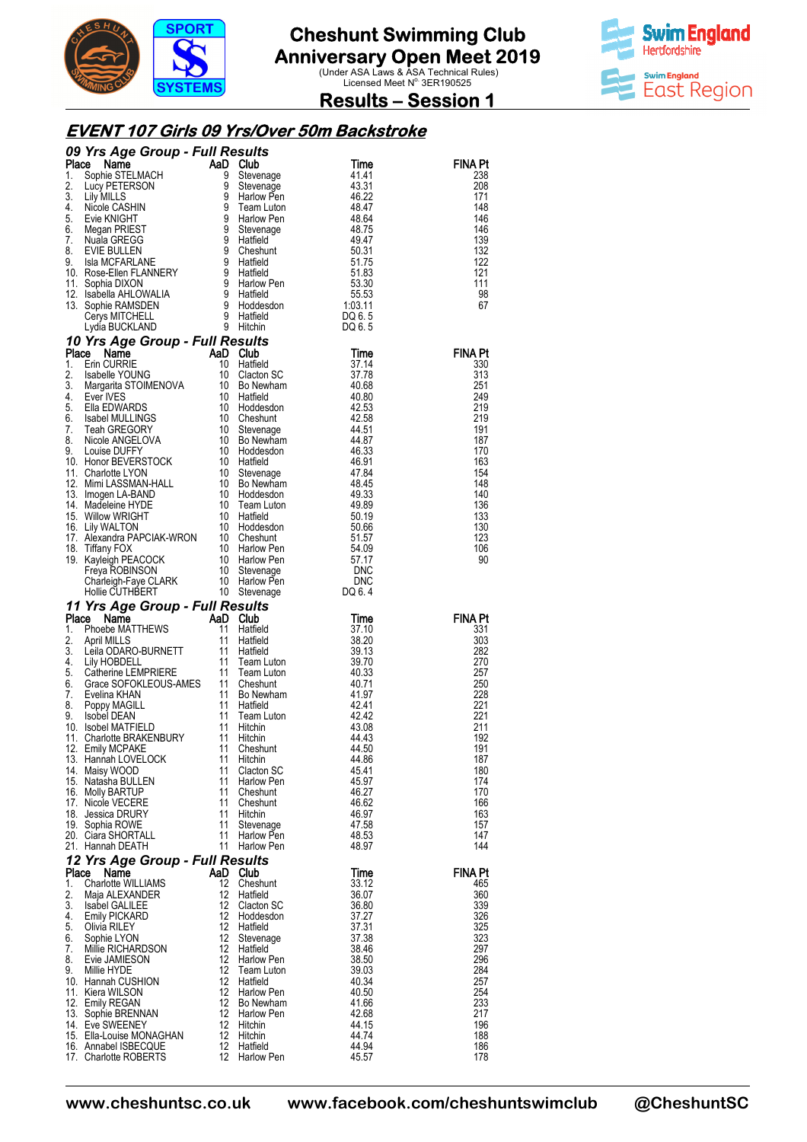

**Swim England Hertfordshire Swim England** East Region

**Results – Session 1** 

#### **EVENT 107 Girls 09 Yrs/Over 50m Backstroke**

|          |                                                                                                                                                                                                                                                                      |                         |                                 |                | <b>FINA Pt</b><br>238 |
|----------|----------------------------------------------------------------------------------------------------------------------------------------------------------------------------------------------------------------------------------------------------------------------|-------------------------|---------------------------------|----------------|-----------------------|
|          |                                                                                                                                                                                                                                                                      |                         |                                 |                | 208                   |
|          |                                                                                                                                                                                                                                                                      |                         |                                 |                | 171                   |
|          |                                                                                                                                                                                                                                                                      |                         |                                 |                | 148                   |
|          |                                                                                                                                                                                                                                                                      |                         |                                 |                | 146<br>146            |
|          |                                                                                                                                                                                                                                                                      |                         |                                 |                | 139                   |
|          |                                                                                                                                                                                                                                                                      |                         |                                 |                | 132                   |
|          |                                                                                                                                                                                                                                                                      |                         |                                 |                | 122<br>121            |
|          |                                                                                                                                                                                                                                                                      |                         |                                 |                | 111                   |
|          |                                                                                                                                                                                                                                                                      |                         |                                 |                | 98                    |
|          |                                                                                                                                                                                                                                                                      |                         |                                 |                | 67                    |
|          |                                                                                                                                                                                                                                                                      |                         |                                 |                |                       |
|          |                                                                                                                                                                                                                                                                      |                         |                                 |                |                       |
|          |                                                                                                                                                                                                                                                                      |                         |                                 |                | <b>FINA Pt</b>        |
|          |                                                                                                                                                                                                                                                                      |                         |                                 |                | 330                   |
|          |                                                                                                                                                                                                                                                                      |                         |                                 |                | 313<br>251            |
|          |                                                                                                                                                                                                                                                                      |                         |                                 |                | 249                   |
|          |                                                                                                                                                                                                                                                                      |                         |                                 |                | 219                   |
|          |                                                                                                                                                                                                                                                                      |                         |                                 |                | 219                   |
|          |                                                                                                                                                                                                                                                                      |                         |                                 |                | 191<br>187            |
|          |                                                                                                                                                                                                                                                                      |                         |                                 |                | 170                   |
|          |                                                                                                                                                                                                                                                                      |                         |                                 |                | 163                   |
|          |                                                                                                                                                                                                                                                                      |                         |                                 |                | 154<br>148            |
|          |                                                                                                                                                                                                                                                                      |                         |                                 |                | 140                   |
|          |                                                                                                                                                                                                                                                                      |                         |                                 |                | 136                   |
|          |                                                                                                                                                                                                                                                                      |                         |                                 |                | 133                   |
|          |                                                                                                                                                                                                                                                                      |                         |                                 |                | 130<br>123            |
|          |                                                                                                                                                                                                                                                                      |                         |                                 |                | 106                   |
|          |                                                                                                                                                                                                                                                                      |                         |                                 |                | 90                    |
|          |                                                                                                                                                                                                                                                                      |                         |                                 |                |                       |
|          |                                                                                                                                                                                                                                                                      |                         |                                 |                |                       |
|          |                                                                                                                                                                                                                                                                      |                         |                                 |                |                       |
|          |                                                                                                                                                                                                                                                                      |                         |                                 |                |                       |
|          |                                                                                                                                                                                                                                                                      |                         |                                 |                | <b>FINA Pt</b>        |
|          |                                                                                                                                                                                                                                                                      |                         |                                 |                | 331                   |
|          |                                                                                                                                                                                                                                                                      |                         |                                 |                | 303                   |
|          |                                                                                                                                                                                                                                                                      |                         |                                 |                | 282<br>270            |
|          |                                                                                                                                                                                                                                                                      |                         |                                 |                | 257                   |
|          |                                                                                                                                                                                                                                                                      |                         |                                 |                | 250                   |
|          |                                                                                                                                                                                                                                                                      |                         |                                 |                | 228                   |
|          |                                                                                                                                                                                                                                                                      |                         |                                 |                | 221<br>221            |
|          |                                                                                                                                                                                                                                                                      |                         |                                 |                | 211                   |
|          |                                                                                                                                                                                                                                                                      |                         |                                 |                | 192                   |
|          | 13. Hannah LOVELOCK                                                                                                                                                                                                                                                  | 11                      | Hitchin                         | 44.86          | 191<br>187            |
|          | 14. Maisy WOOD                                                                                                                                                                                                                                                       | 11                      | Clacton SC                      | 45.41          | 180                   |
|          | <b>09 Yrs Agre Group Full Results</b><br>The Non-Street And Club Results<br>1. Lilly Mills Schweinage<br>1. Lilly Mills Schweinage<br>1. Lilly Mills (CASHIN 9 Slevenage<br>2. Lilly Mills CASHIN 9 Slevenage<br>4. S. New Mills CASHIN 9 Team<br>15. Natasha BULLEN | 11                      | Harlow Pen                      | 45.97          | 174                   |
|          | 16. Molly BARTUP                                                                                                                                                                                                                                                     | 11<br>11                | Cheshunt                        | 46.27          | 170                   |
|          | 17. Nicole VECERE<br>18. Jessica DRURY                                                                                                                                                                                                                               | 11                      | Cheshunt<br>Hitchin             | 46.62<br>46.97 | 166<br>163            |
|          | 19. Sophia ROWE                                                                                                                                                                                                                                                      | 11                      | Stevenage                       | 47.58          | 157                   |
|          | 20. Ciara SHORTALL                                                                                                                                                                                                                                                   | 11                      | Harlow Pen                      | 48.53          | 147                   |
|          | 21. Hannah DEATH                                                                                                                                                                                                                                                     | 11                      | Harlow Pen                      | 48.97          | 144                   |
| Place    | 12 Yrs Age Group - Full Results<br>Name                                                                                                                                                                                                                              |                         | AaD Club                        | Time           | FINA Pt               |
| 1.       | Charlotte WILLIAMS                                                                                                                                                                                                                                                   | 12                      | Cheshunt                        | 33.12          | 465                   |
| 2.       | Maja ALEXANDER                                                                                                                                                                                                                                                       | 12                      | Hatfield                        | 36.07          | 360                   |
| 3.       | <b>Isabel GALILEE</b>                                                                                                                                                                                                                                                | 12<br>12                | Clacton SC                      | 36.80          | 339                   |
| 4.<br>5. | <b>Emily PICKARD</b><br>Olivia RILEY                                                                                                                                                                                                                                 | 12                      | Hoddesdon<br>Hatfield           | 37.27<br>37.31 | 326<br>325            |
| 6.       | Sophie LYON                                                                                                                                                                                                                                                          | 12                      | Stevenage                       | 37.38          | 323                   |
| 7.       | Millie RICHARDSON                                                                                                                                                                                                                                                    | 12                      | Hatfield                        | 38.46          | 297                   |
| 8.<br>9. | Evie JAMIESON<br>Millie HYDE                                                                                                                                                                                                                                         | $12 \overline{ }$<br>12 | <b>Harlow Pen</b><br>Team Luton | 38.50<br>39.03 | 296<br>284            |
|          | 10. Hannah CUSHION                                                                                                                                                                                                                                                   | 12                      | Hatfield                        | 40.34          | 257                   |
|          | 11. Kiera WILSON                                                                                                                                                                                                                                                     | 12                      | Harlow Pen                      | 40.50          | 254                   |
|          | 12. Emily REGAN                                                                                                                                                                                                                                                      | 12                      | Bo Newham                       | 41.66          | 233                   |
|          | 13. Sophie BRENNAN<br>14. Eve SWEENEY                                                                                                                                                                                                                                | 12<br>12                | Harlow Pen<br>Hitchin           | 42.68<br>44.15 | 217<br>196            |
|          | 15. Ella-Louise MONAGHAN                                                                                                                                                                                                                                             | 12                      | Hitchin                         | 44.74          | 188                   |
|          | 16. Annabel ISBECQUE<br>17. Charlotte ROBERTS                                                                                                                                                                                                                        | 12<br>12                | Hatfield<br>Harlow Pen          | 44.94<br>45.57 | 186<br>178            |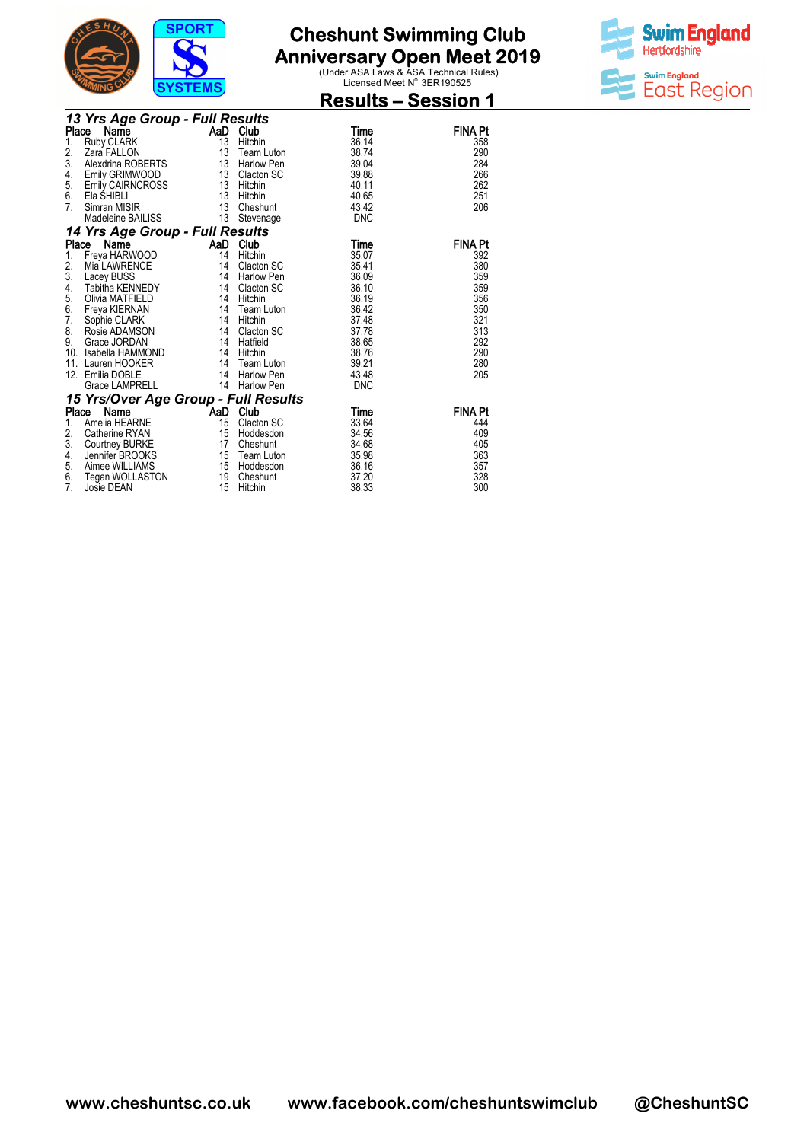

**Anniversary Open Meet 2019**<br>
Under ASA Laws & ASA Technical Rules)<br>
Licensed Meet N<sup>o.</sup> 3ER190525



|       |                                      | $\cdot$ $\cdot$ $\cdot$ $\cdot$ $\cdot$ $\cdot$ $\cdot$ |                   | <b>Results – Session 1</b> |                |
|-------|--------------------------------------|---------------------------------------------------------|-------------------|----------------------------|----------------|
|       | 13 Yrs Age Group - Full Results      |                                                         |                   |                            |                |
| Place | Name                                 |                                                         | AaD Club          | Time                       | <b>FINA Pt</b> |
| 1.    | <b>Ruby CLARK</b>                    | 13                                                      | Hitchin           | 36.14                      | 358            |
| 2.    | Zara FALLON                          | 13                                                      | Team Luton        | 38.74                      | 290            |
| 3.    | Alexdrina ROBERTS                    | 13                                                      | <b>Harlow Pen</b> | 39.04                      | 284            |
| 4.    | Emily GRIMWOOD                       | 13                                                      | Clacton SC        | 39.88                      | 266            |
| 5.    | Emily CAIRNCROSS                     | 13                                                      | Hitchin           | 40.11                      | 262            |
| 6.    | Ela SHIBLI                           | 13                                                      | Hitchin           | 40.65                      | 251            |
| 7.    | Simran MISIR                         | 13                                                      | Cheshunt          | 43.42                      | 206            |
|       | Madeleine BAILISS                    | 13                                                      | Stevenage         | <b>DNC</b>                 |                |
|       | 14 Yrs Age Group - Full Results      |                                                         |                   |                            |                |
| Place | Name                                 | AaD                                                     | Club              | Time                       | <b>FINA Pt</b> |
| 1.    | Freya HARWOOD                        | 14                                                      | Hitchin           | 35.07                      | 392            |
| 2.    | Mia LAWRENCE                         | 14                                                      | Clacton SC        | 35.41                      | 380            |
| 3.    | Lacey BUSS                           | 14                                                      | <b>Harlow Pen</b> | 36.09                      | 359            |
| 4.    | Tabitha KENNEDY                      | 14                                                      | Clacton SC        | 36.10                      | 359            |
| 5.    | Olivia MATFIELD                      | 14                                                      | Hitchin           | 36.19                      | 356            |
| 6.    | Freya KIERNAN                        | 14                                                      | Team Luton        | 36.42                      | 350            |
| 7.    | Sophie CLARK                         | 14                                                      | Hitchin           | 37.48                      | 321            |
| 8.    | Rosie ADAMSON                        | 14                                                      | Clacton SC        | 37.78                      | 313            |
| 9.    | Grace JORDAN                         | 14                                                      | Hatfield          | 38.65                      | 292            |
| 10.   | Isabella HAMMOND                     | 14                                                      | Hitchin           | 38.76                      | 290            |
| 11.   | Lauren HOOKER                        | 14                                                      | Team Luton        | 39.21                      | 280            |
|       | 12. Emilia DOBLE                     | 14                                                      | <b>Harlow Pen</b> | 43.48                      | 205            |
|       | <b>Grace LAMPRELL</b>                | 14                                                      | <b>Harlow Pen</b> | <b>DNC</b>                 |                |
|       | 15 Yrs/Over Age Group - Full Results |                                                         |                   |                            |                |
| Place | Name                                 | AaD Club                                                |                   | Time                       | <b>FINA Pt</b> |
| 1.    | Amelia HEARNE                        | 15                                                      | Clacton SC        | 33.64                      | 444            |
| 2.    | Catherine RYAN                       | 15                                                      | Hoddesdon         | 34.56                      | 409            |
| 3.    | Courtney BURKE                       | 17                                                      | Cheshunt          | 34.68                      | 405            |
| 4.    | Jennifer BROOKS                      | 15                                                      | Team Luton        | 35.98                      | 363            |
| 5.    | Aimee WILLIAMS                       | 15                                                      | Hoddesdon         | 36.16                      | 357            |
| 6.    | Tegan WOLLASTON                      | 19                                                      | Cheshunt          | 37.20                      | 328            |
| 7.    | Josie DEAN                           | 15                                                      | Hitchin           | 38.33                      | 300            |